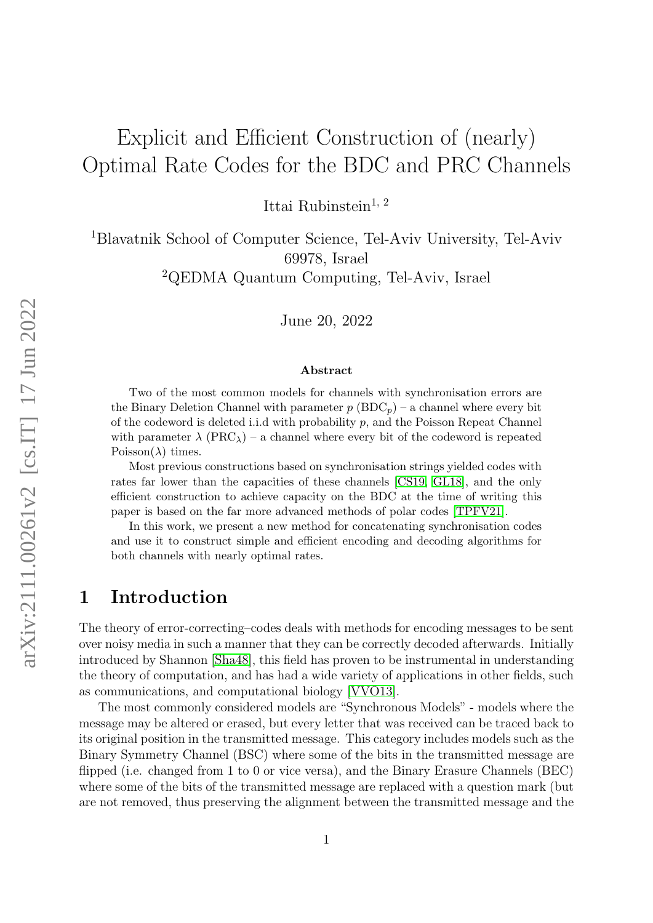# Explicit and Efficient Construction of (nearly) Optimal Rate Codes for the BDC and PRC Channels

Ittai Rubinstein<sup>1, 2</sup>

<sup>1</sup>Blavatnik School of Computer Science, Tel-Aviv University, Tel-Aviv 69978, Israel

<sup>2</sup>QEDMA Quantum Computing, Tel-Aviv, Israel

June 20, 2022

#### Abstract

Two of the most common models for channels with synchronisation errors are the Binary Deletion Channel with parameter  $p(BDC_p)$  – a channel where every bit of the codeword is deleted i.i.d with probability  $p$ , and the Poisson Repeat Channel with parameter  $\lambda$  (PRC<sub> $\lambda$ </sub>) – a channel where every bit of the codeword is repeated Poisson( $\lambda$ ) times.

Most previous constructions based on synchronisation strings yielded codes with rates far lower than the capacities of these channels [\[CS19,](#page-23-0) [GL18\]](#page-23-1), and the only efficient construction to achieve capacity on the BDC at the time of writing this paper is based on the far more advanced methods of polar codes [\[TPFV21\]](#page-24-0).

In this work, we present a new method for concatenating synchronisation codes and use it to construct simple and efficient encoding and decoding algorithms for both channels with nearly optimal rates.

# 1 Introduction

The theory of error-correcting–codes deals with methods for encoding messages to be sent over noisy media in such a manner that they can be correctly decoded afterwards. Initially introduced by Shannon [\[Sha48\]](#page-24-1), this field has proven to be instrumental in understanding the theory of computation, and has had a wide variety of applications in other fields, such as communications, and computational biology [\[VVO13\]](#page-24-2).

The most commonly considered models are "Synchronous Models" - models where the message may be altered or erased, but every letter that was received can be traced back to its original position in the transmitted message. This category includes models such as the Binary Symmetry Channel (BSC) where some of the bits in the transmitted message are flipped (i.e. changed from 1 to 0 or vice versa), and the Binary Erasure Channels (BEC) where some of the bits of the transmitted message are replaced with a question mark (but are not removed, thus preserving the alignment between the transmitted message and the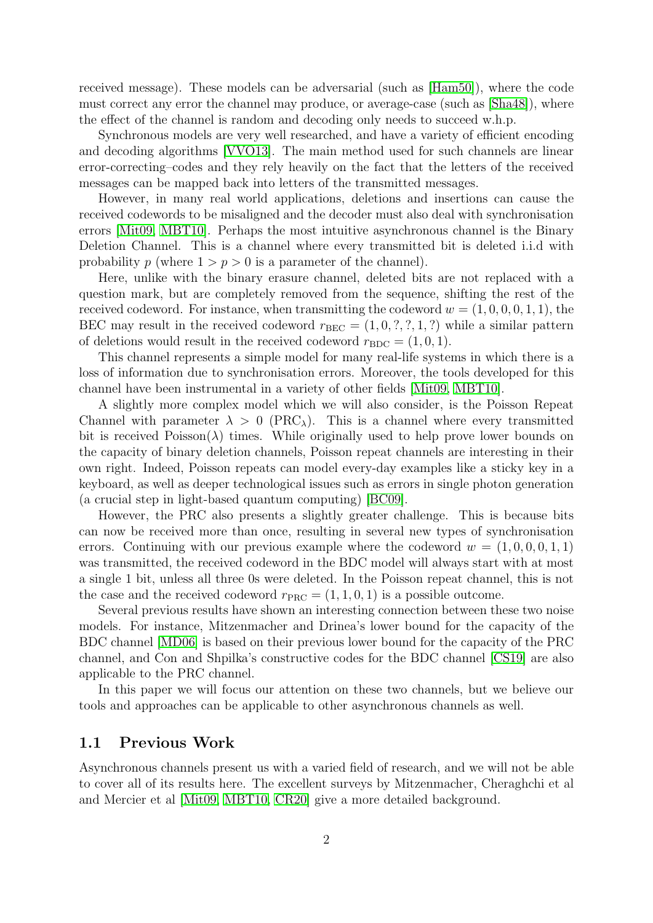received message). These models can be adversarial (such as [\[Ham50\]](#page-23-2)), where the code must correct any error the channel may produce, or average-case (such as [\[Sha48\]](#page-24-1)), where the effect of the channel is random and decoding only needs to succeed w.h.p.

Synchronous models are very well researched, and have a variety of efficient encoding and decoding algorithms [\[VVO13\]](#page-24-2). The main method used for such channels are linear error-correcting–codes and they rely heavily on the fact that the letters of the received messages can be mapped back into letters of the transmitted messages.

However, in many real world applications, deletions and insertions can cause the received codewords to be misaligned and the decoder must also deal with synchronisation errors [\[Mit09,](#page-24-3) [MBT10\]](#page-24-4). Perhaps the most intuitive asynchronous channel is the Binary Deletion Channel. This is a channel where every transmitted bit is deleted i.i.d with probability p (where  $1 > p > 0$  is a parameter of the channel).

Here, unlike with the binary erasure channel, deleted bits are not replaced with a question mark, but are completely removed from the sequence, shifting the rest of the received codeword. For instance, when transmitting the codeword  $w = (1, 0, 0, 0, 1, 1)$ , the BEC may result in the received codeword  $r_{BEC} = (1, 0, ?, ?, 1, ?)$  while a similar pattern of deletions would result in the received codeword  $r_{BDC} = (1, 0, 1)$ .

This channel represents a simple model for many real-life systems in which there is a loss of information due to synchronisation errors. Moreover, the tools developed for this channel have been instrumental in a variety of other fields [\[Mit09,](#page-24-3) [MBT10\]](#page-24-4).

A slightly more complex model which we will also consider, is the Poisson Repeat Channel with parameter  $\lambda > 0$  (PRC<sub> $\lambda$ </sub>). This is a channel where every transmitted bit is received  $Poisson(\lambda)$  times. While originally used to help prove lower bounds on the capacity of binary deletion channels, Poisson repeat channels are interesting in their own right. Indeed, Poisson repeats can model every-day examples like a sticky key in a keyboard, as well as deeper technological issues such as errors in single photon generation (a crucial step in light-based quantum computing) [\[BC09\]](#page-22-0).

However, the PRC also presents a slightly greater challenge. This is because bits can now be received more than once, resulting in several new types of synchronisation errors. Continuing with our previous example where the codeword  $w = (1, 0, 0, 0, 1, 1)$ was transmitted, the received codeword in the BDC model will always start with at most a single 1 bit, unless all three 0s were deleted. In the Poisson repeat channel, this is not the case and the received codeword  $r_{\text{PRC}} = (1, 1, 0, 1)$  is a possible outcome.

Several previous results have shown an interesting connection between these two noise models. For instance, Mitzenmacher and Drinea's lower bound for the capacity of the BDC channel [\[MD06\]](#page-24-5) is based on their previous lower bound for the capacity of the PRC channel, and Con and Shpilka's constructive codes for the BDC channel [\[CS19\]](#page-23-0) are also applicable to the PRC channel.

In this paper we will focus our attention on these two channels, but we believe our tools and approaches can be applicable to other asynchronous channels as well.

#### 1.1 Previous Work

Asynchronous channels present us with a varied field of research, and we will not be able to cover all of its results here. The excellent surveys by Mitzenmacher, Cheraghchi et al and Mercier et al [\[Mit09,](#page-24-3) [MBT10,](#page-24-4) [CR20\]](#page-23-3) give a more detailed background.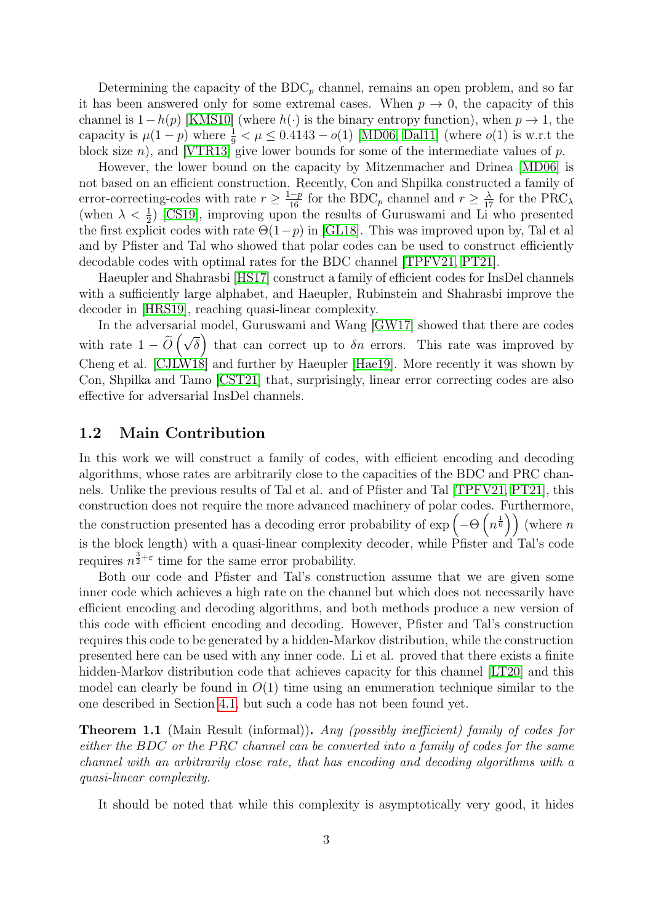Determining the capacity of the  $BDC_p$  channel, remains an open problem, and so far it has been answered only for some extremal cases. When  $p \to 0$ , the capacity of this channel is  $1-h(p)$  [\[KMS10\]](#page-24-6) (where  $h(\cdot)$  is the binary entropy function), when  $p \to 1$ , the capacity is  $\mu(1-p)$  where  $\frac{1}{9} < \mu \leq 0.4143 - o(1)$  [\[MD06,](#page-24-5) [Dal11\]](#page-23-4) (where  $o(1)$  is w.r.t the block size *n*), and [\[VTR13\]](#page-24-7) give lower bounds for some of the intermediate values of  $p$ .

However, the lower bound on the capacity by Mitzenmacher and Drinea [\[MD06\]](#page-24-5) is not based on an efficient construction. Recently, Con and Shpilka constructed a family of error-correcting-codes with rate  $r \ge \frac{1-p}{16}$  for the BDC<sub>p</sub> channel and  $r \ge \frac{\lambda}{17}$  for the PRC<sub> $\lambda$ </sub> (when  $\lambda < \frac{1}{2}$ ) [\[CS19\]](#page-23-0), improving upon the results of Guruswami and Li who presented the first explicit codes with rate  $\Theta(1-p)$  in [\[GL18\]](#page-23-1). This was improved upon by, Tal et al and by Pfister and Tal who showed that polar codes can be used to construct efficiently decodable codes with optimal rates for the BDC channel [\[TPFV21,](#page-24-0) [PT21\]](#page-24-8).

Haeupler and Shahrasbi [\[HS17\]](#page-23-5) construct a family of efficient codes for InsDel channels with a sufficiently large alphabet, and Haeupler, Rubinstein and Shahrasbi improve the decoder in [\[HRS19\]](#page-23-6), reaching quasi-linear complexity.

In the adversarial model, Guruswami and Wang [\[GW17\]](#page-23-7) showed that there are codes with rate  $1 - O$  $(\sqrt{\delta})$  that can correct up to  $\delta n$  errors. This rate was improved by Cheng et al. [\[CJLW18\]](#page-23-8) and further by Haeupler [\[Hae19\]](#page-23-9). More recently it was shown by Con, Shpilka and Tamo [\[CST21\]](#page-23-10) that, surprisingly, linear error correcting codes are also effective for adversarial InsDel channels.

### 1.2 Main Contribution

In this work we will construct a family of codes, with efficient encoding and decoding algorithms, whose rates are arbitrarily close to the capacities of the BDC and PRC channels. Unlike the previous results of Tal et al. and of Pfister and Tal [\[TPFV21,](#page-24-0) [PT21\]](#page-24-8), this construction does not require the more advanced machinery of polar codes. Furthermore, the construction presented has a decoding error probability of  $\exp\left(-\Theta\left(n^{\frac{1}{6}}\right)\right)$  (where n is the block length) with a quasi-linear complexity decoder, while  $\overrightarrow{P}$ fister and Tal's code requires  $n^{\frac{3}{2}+\varepsilon}$  time for the same error probability.

Both our code and Pfister and Tal's construction assume that we are given some inner code which achieves a high rate on the channel but which does not necessarily have efficient encoding and decoding algorithms, and both methods produce a new version of this code with efficient encoding and decoding. However, Pfister and Tal's construction requires this code to be generated by a hidden-Markov distribution, while the construction presented here can be used with any inner code. Li et al. proved that there exists a finite hidden-Markov distribution code that achieves capacity for this channel [\[LT20\]](#page-24-9) and this model can clearly be found in  $O(1)$  time using an enumeration technique similar to the one described in Section [4.1,](#page-12-0) but such a code has not been found yet.

Theorem 1.1 (Main Result (informal)). Any (possibly inefficient) family of codes for either the BDC or the PRC channel can be converted into a family of codes for the same channel with an arbitrarily close rate, that has encoding and decoding algorithms with a quasi-linear complexity.

It should be noted that while this complexity is asymptotically very good, it hides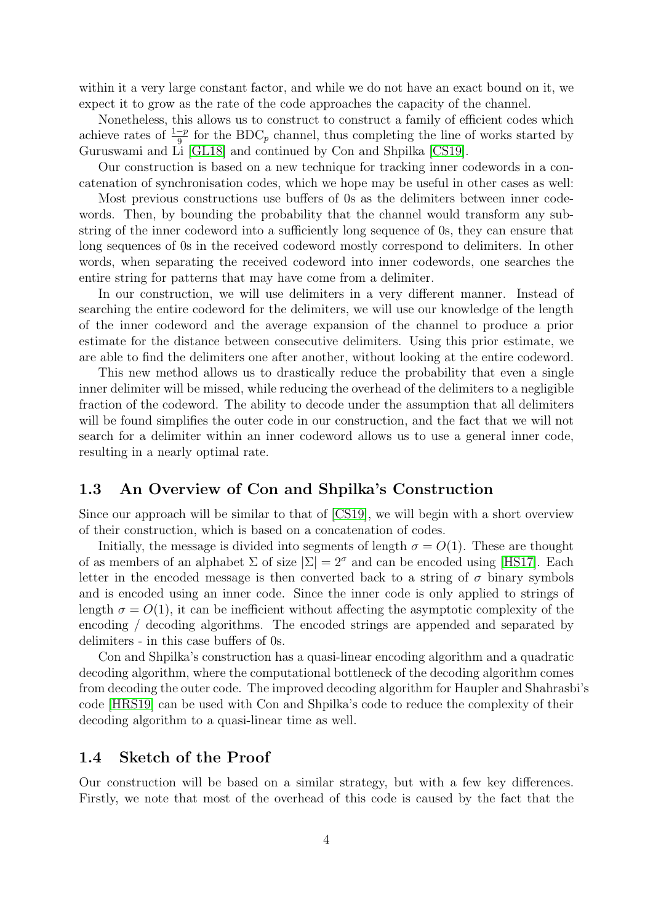within it a very large constant factor, and while we do not have an exact bound on it, we expect it to grow as the rate of the code approaches the capacity of the channel.

Nonetheless, this allows us to construct to construct a family of efficient codes which achieve rates of  $\frac{1-p}{9}$  for the BDC<sub>p</sub> channel, thus completing the line of works started by Guruswami and Li [\[GL18\]](#page-23-1) and continued by Con and Shpilka [\[CS19\]](#page-23-0).

Our construction is based on a new technique for tracking inner codewords in a concatenation of synchronisation codes, which we hope may be useful in other cases as well:

Most previous constructions use buffers of 0s as the delimiters between inner codewords. Then, by bounding the probability that the channel would transform any substring of the inner codeword into a sufficiently long sequence of 0s, they can ensure that long sequences of 0s in the received codeword mostly correspond to delimiters. In other words, when separating the received codeword into inner codewords, one searches the entire string for patterns that may have come from a delimiter.

In our construction, we will use delimiters in a very different manner. Instead of searching the entire codeword for the delimiters, we will use our knowledge of the length of the inner codeword and the average expansion of the channel to produce a prior estimate for the distance between consecutive delimiters. Using this prior estimate, we are able to find the delimiters one after another, without looking at the entire codeword.

This new method allows us to drastically reduce the probability that even a single inner delimiter will be missed, while reducing the overhead of the delimiters to a negligible fraction of the codeword. The ability to decode under the assumption that all delimiters will be found simplifies the outer code in our construction, and the fact that we will not search for a delimiter within an inner codeword allows us to use a general inner code, resulting in a nearly optimal rate.

### 1.3 An Overview of Con and Shpilka's Construction

Since our approach will be similar to that of [\[CS19\]](#page-23-0), we will begin with a short overview of their construction, which is based on a concatenation of codes.

Initially, the message is divided into segments of length  $\sigma = O(1)$ . These are thought of as members of an alphabet  $\Sigma$  of size  $|\Sigma| = 2^{\sigma}$  and can be encoded using [\[HS17\]](#page-23-5). Each letter in the encoded message is then converted back to a string of  $\sigma$  binary symbols and is encoded using an inner code. Since the inner code is only applied to strings of length  $\sigma = O(1)$ , it can be inefficient without affecting the asymptotic complexity of the encoding / decoding algorithms. The encoded strings are appended and separated by delimiters - in this case buffers of 0s.

Con and Shpilka's construction has a quasi-linear encoding algorithm and a quadratic decoding algorithm, where the computational bottleneck of the decoding algorithm comes from decoding the outer code. The improved decoding algorithm for Haupler and Shahrasbi's code [\[HRS19\]](#page-23-6) can be used with Con and Shpilka's code to reduce the complexity of their decoding algorithm to a quasi-linear time as well.

### 1.4 Sketch of the Proof

Our construction will be based on a similar strategy, but with a few key differences. Firstly, we note that most of the overhead of this code is caused by the fact that the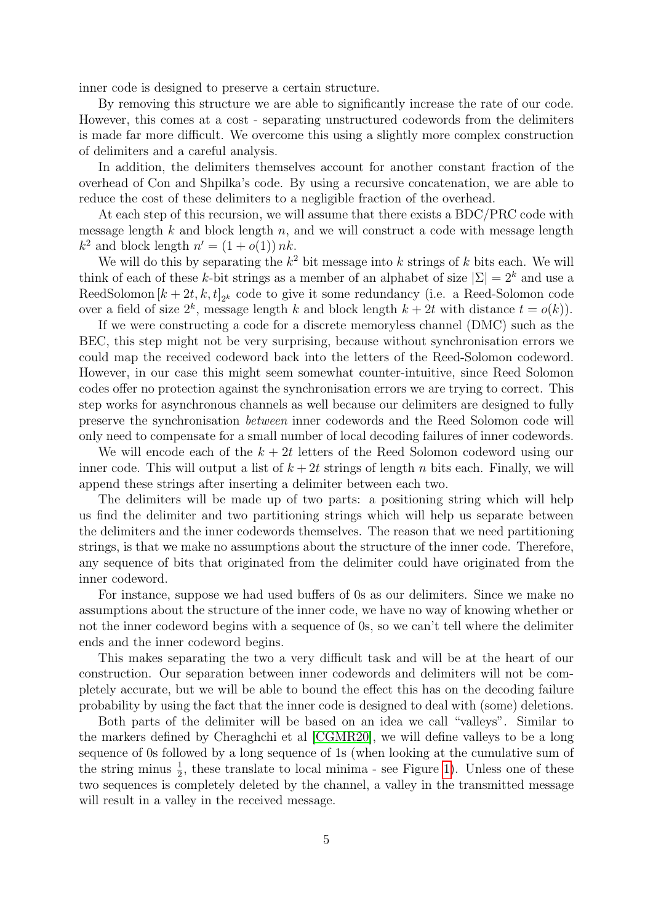inner code is designed to preserve a certain structure.

By removing this structure we are able to significantly increase the rate of our code. However, this comes at a cost - separating unstructured codewords from the delimiters is made far more difficult. We overcome this using a slightly more complex construction of delimiters and a careful analysis.

In addition, the delimiters themselves account for another constant fraction of the overhead of Con and Shpilka's code. By using a recursive concatenation, we are able to reduce the cost of these delimiters to a negligible fraction of the overhead.

At each step of this recursion, we will assume that there exists a BDC/PRC code with message length  $k$  and block length  $n$ , and we will construct a code with message length  $k^2$  and block length  $n' = (1 + o(1)) nk$ .

We will do this by separating the  $k^2$  bit message into k strings of k bits each. We will think of each of these k-bit strings as a member of an alphabet of size  $|\Sigma| = 2^k$  and use a ReedSolomon  $[k + 2t, k, t]_{2^k}$  code to give it some redundancy (i.e. a Reed-Solomon code over a field of size  $2^k$ , message length k and block length  $k + 2t$  with distance  $t = o(k)$ ).

If we were constructing a code for a discrete memoryless channel (DMC) such as the BEC, this step might not be very surprising, because without synchronisation errors we could map the received codeword back into the letters of the Reed-Solomon codeword. However, in our case this might seem somewhat counter-intuitive, since Reed Solomon codes offer no protection against the synchronisation errors we are trying to correct. This step works for asynchronous channels as well because our delimiters are designed to fully preserve the synchronisation between inner codewords and the Reed Solomon code will only need to compensate for a small number of local decoding failures of inner codewords.

We will encode each of the  $k + 2t$  letters of the Reed Solomon codeword using our inner code. This will output a list of  $k + 2t$  strings of length n bits each. Finally, we will append these strings after inserting a delimiter between each two.

The delimiters will be made up of two parts: a positioning string which will help us find the delimiter and two partitioning strings which will help us separate between the delimiters and the inner codewords themselves. The reason that we need partitioning strings, is that we make no assumptions about the structure of the inner code. Therefore, any sequence of bits that originated from the delimiter could have originated from the inner codeword.

For instance, suppose we had used buffers of 0s as our delimiters. Since we make no assumptions about the structure of the inner code, we have no way of knowing whether or not the inner codeword begins with a sequence of 0s, so we can't tell where the delimiter ends and the inner codeword begins.

This makes separating the two a very difficult task and will be at the heart of our construction. Our separation between inner codewords and delimiters will not be completely accurate, but we will be able to bound the effect this has on the decoding failure probability by using the fact that the inner code is designed to deal with (some) deletions.

Both parts of the delimiter will be based on an idea we call "valleys". Similar to the markers defined by Cheraghchi et al [\[CGMR20\]](#page-23-11), we will define valleys to be a long sequence of 0s followed by a long sequence of 1s (when looking at the cumulative sum of the string minus  $\frac{1}{2}$ , these translate to local minima - see Figure [1\)](#page-8-0). Unless one of these two sequences is completely deleted by the channel, a valley in the transmitted message will result in a valley in the received message.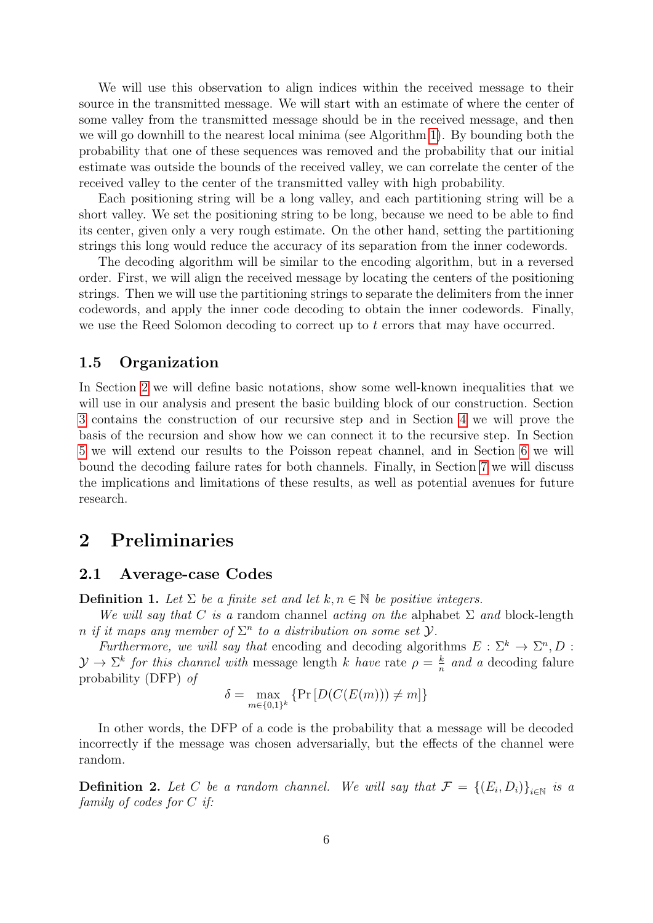We will use this observation to align indices within the received message to their source in the transmitted message. We will start with an estimate of where the center of some valley from the transmitted message should be in the received message, and then we will go downhill to the nearest local minima (see Algorithm [1\)](#page-7-0). By bounding both the probability that one of these sequences was removed and the probability that our initial estimate was outside the bounds of the received valley, we can correlate the center of the received valley to the center of the transmitted valley with high probability.

Each positioning string will be a long valley, and each partitioning string will be a short valley. We set the positioning string to be long, because we need to be able to find its center, given only a very rough estimate. On the other hand, setting the partitioning strings this long would reduce the accuracy of its separation from the inner codewords.

The decoding algorithm will be similar to the encoding algorithm, but in a reversed order. First, we will align the received message by locating the centers of the positioning strings. Then we will use the partitioning strings to separate the delimiters from the inner codewords, and apply the inner code decoding to obtain the inner codewords. Finally, we use the Reed Solomon decoding to correct up to  $t$  errors that may have occurred.

### 1.5 Organization

In Section [2](#page-5-0) we will define basic notations, show some well-known inequalities that we will use in our analysis and present the basic building block of our construction. Section [3](#page-8-1) contains the construction of our recursive step and in Section [4](#page-12-1) we will prove the basis of the recursion and show how we can connect it to the recursive step. In Section [5](#page-15-0) we will extend our results to the Poisson repeat channel, and in Section [6](#page-16-0) we will bound the decoding failure rates for both channels. Finally, in Section [7](#page-22-1) we will discuss the implications and limitations of these results, as well as potential avenues for future research.

# <span id="page-5-0"></span>2 Preliminaries

#### 2.1 Average-case Codes

**Definition 1.** Let  $\Sigma$  be a finite set and let  $k, n \in \mathbb{N}$  be positive integers.

We will say that C is a random channel acting on the alphabet  $\Sigma$  and block-length n if it maps any member of  $\Sigma^n$  to a distribution on some set  $\mathcal{Y}$ .

Furthermore, we will say that encoding and decoding algorithms  $E : \Sigma^k \to \Sigma^n, D$ :  $\mathcal{Y} \to \Sigma^k$  for this channel with message length k have rate  $\rho = \frac{k}{n}$  $\frac{k}{n}$  and a decoding falure probability (DFP) of

$$
\delta = \max_{m \in \{0,1\}^k} \left\{ \Pr\left[ D(C(E(m))) \neq m \right] \right\}
$$

In other words, the DFP of a code is the probability that a message will be decoded incorrectly if the message was chosen adversarially, but the effects of the channel were random.

**Definition 2.** Let C be a random channel. We will say that  $\mathcal{F} = \{(E_i, D_i)\}_{i \in \mathbb{N}}$  is a family of codes for C if: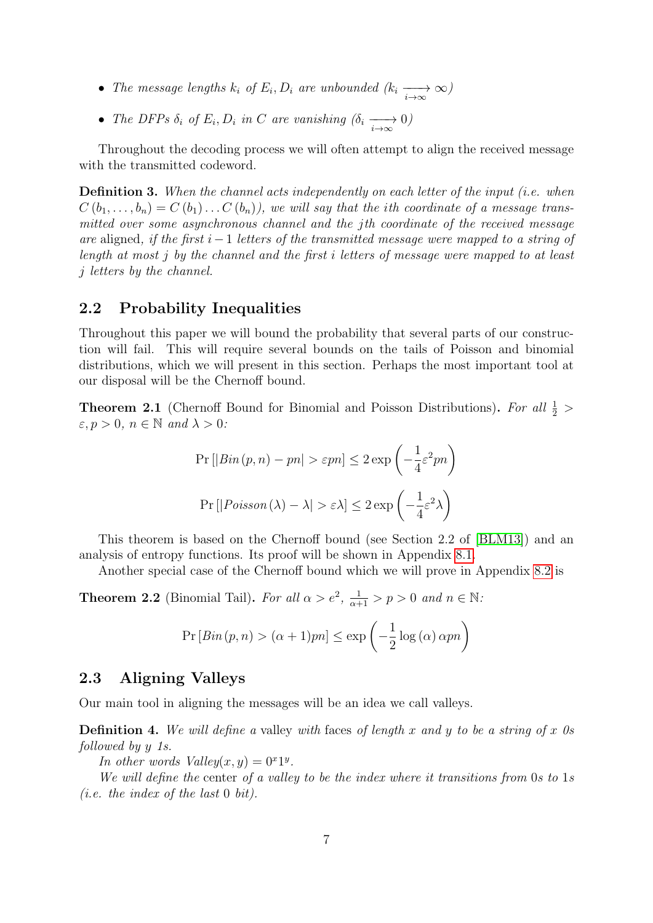- The message lengths  $k_i$  of  $E_i, D_i$  are unbounded  $(k_i \longrightarrow_{\infty} \infty)$
- The DFPs  $\delta_i$  of  $E_i, D_i$  in C are vanishing  $(\delta_i \xrightarrow[i \to \infty]{} 0)$

Throughout the decoding process we will often attempt to align the received message with the transmitted codeword.

Definition 3. When the channel acts independently on each letter of the input (i.e. when  $C(b_1, \ldots, b_n) = C(b_1) \ldots C(b_n)$ , we will say that the *i*th coordinate of a message transmitted over some asynchronous channel and the jth coordinate of the received message are aligned, if the first i−1 letters of the transmitted message were mapped to a string of length at most j by the channel and the first i letters of message were mapped to at least j letters by the channel.

### 2.2 Probability Inequalities

Throughout this paper we will bound the probability that several parts of our construction will fail. This will require several bounds on the tails of Poisson and binomial distributions, which we will present in this section. Perhaps the most important tool at our disposal will be the Chernoff bound.

<span id="page-6-1"></span>**Theorem 2.1** (Chernoff Bound for Binomial and Poisson Distributions). For all  $\frac{1}{2}$  $\varepsilon, p > 0, n \in \mathbb{N}$  and  $\lambda > 0$ :

$$
\Pr\left[|Bin(p, n) - pn| > \varepsilon p n\right] \le 2 \exp\left(-\frac{1}{4}\varepsilon^2 p n\right)
$$
\n
$$
\Pr\left[|Poisson(\lambda) - \lambda| > \varepsilon \lambda\right] \le 2 \exp\left(-\frac{1}{4}\varepsilon^2 \lambda\right)
$$

This theorem is based on the Chernoff bound (see Section 2.2 of [\[BLM13\]](#page-22-2)) and an analysis of entropy functions. Its proof will be shown in Appendix [8.1.](#page-24-10)

Another special case of the Chernoff bound which we will prove in Appendix [8.2](#page-25-0) is

<span id="page-6-0"></span>**Theorem 2.2** (Binomial Tail). For all  $\alpha > e^2$ ,  $\frac{1}{\alpha+1} > p > 0$  and  $n \in \mathbb{N}$ .

$$
Pr[Bin(p, n) > (\alpha + 1)pn] \le \exp\left(-\frac{1}{2}\log(\alpha)\,\alpha pn\right)
$$

### 2.3 Aligning Valleys

Our main tool in aligning the messages will be an idea we call valleys.

**Definition 4.** We will define a valley with faces of length x and y to be a string of x 0s followed by y 1s.

In other words  $Valley(x, y) = 0^x 1^y$ .

We will define the center of a valley to be the index where it transitions from 0s to 1s (*i.e.* the index of the last  $0$  bit).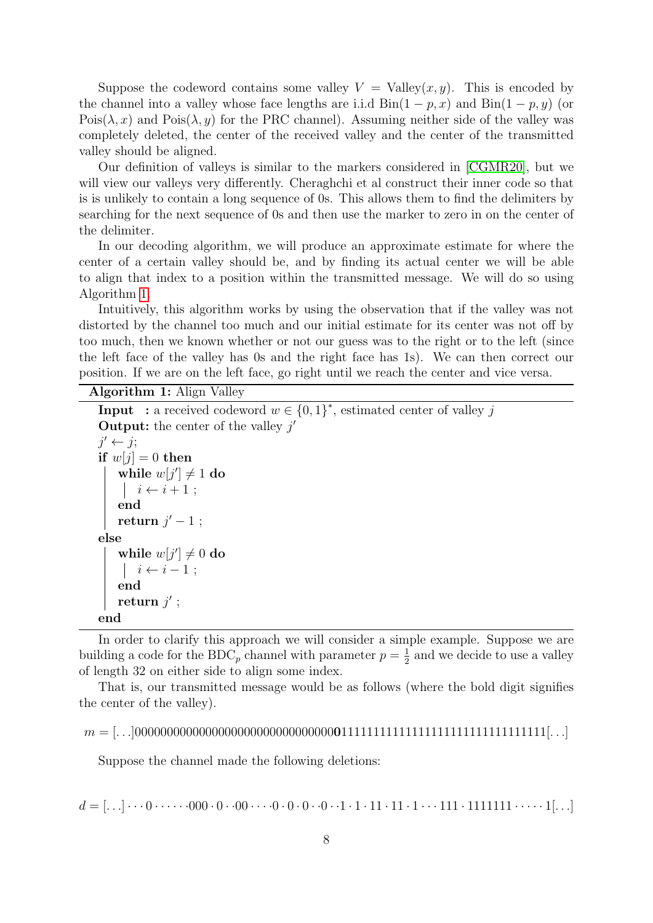Suppose the codeword contains some valley  $V =$  Valley $(x, y)$ . This is encoded by the channel into a valley whose face lengths are i.i.d  $\text{Bin}(1 - p, x)$  and  $\text{Bin}(1 - p, y)$  (or Pois( $\lambda$ , x) and Pois( $\lambda$ , y) for the PRC channel). Assuming neither side of the valley was completely deleted, the center of the received valley and the center of the transmitted valley should be aligned.

Our definition of valleys is similar to the markers considered in [\[CGMR20\]](#page-23-11), but we will view our valleys very differently. Cheraghchi et al construct their inner code so that is is unlikely to contain a long sequence of 0s. This allows them to find the delimiters by searching for the next sequence of 0s and then use the marker to zero in on the center of the delimiter.

In our decoding algorithm, we will produce an approximate estimate for where the center of a certain valley should be, and by finding its actual center we will be able to align that index to a position within the transmitted message. We will do so using Algorithm [1.](#page-7-0)

Intuitively, this algorithm works by using the observation that if the valley was not distorted by the channel too much and our initial estimate for its center was not off by too much, then we known whether or not our guess was to the right or to the left (since the left face of the valley has 0s and the right face has 1s). We can then correct our position. If we are on the left face, go right until we reach the center and vice versa.

<span id="page-7-0"></span>Algorithm 1: Align Valley

**Input** : a received codeword  $w \in \{0,1\}^*$ , estimated center of valley j **Output:** the center of the valley  $j'$  $j' \leftarrow j;$ if  $w[i] = 0$  then while  $w[j'] \neq 1$  do  $i \leftarrow i + 1$ ; end return  $j'-1$ ; else while  $w[j'] \neq 0$  do  $\vert i \leftarrow i - 1;$ end return  $j'$  ; end

In order to clarify this approach we will consider a simple example. Suppose we are building a code for the BDC<sub>p</sub> channel with parameter  $p = \frac{1}{2}$  $\frac{1}{2}$  and we decide to use a valley of length 32 on either side to align some index.

That is, our transmitted message would be as follows (where the bold digit signifies the center of the valley).

m = [. . .]0000000000000000000000000000000011111111111111111111111111111111[. . .]

Suppose the channel made the following deletions:

d = [. . .] · · · 0 · · · · · ·000 · 0 · ·00 · · · ·0 · 0 · 0 · ·0 · ·1 · 1 · 11 · 11 · 1 · · · 111 · 1111111 · · · · · 1[. . .]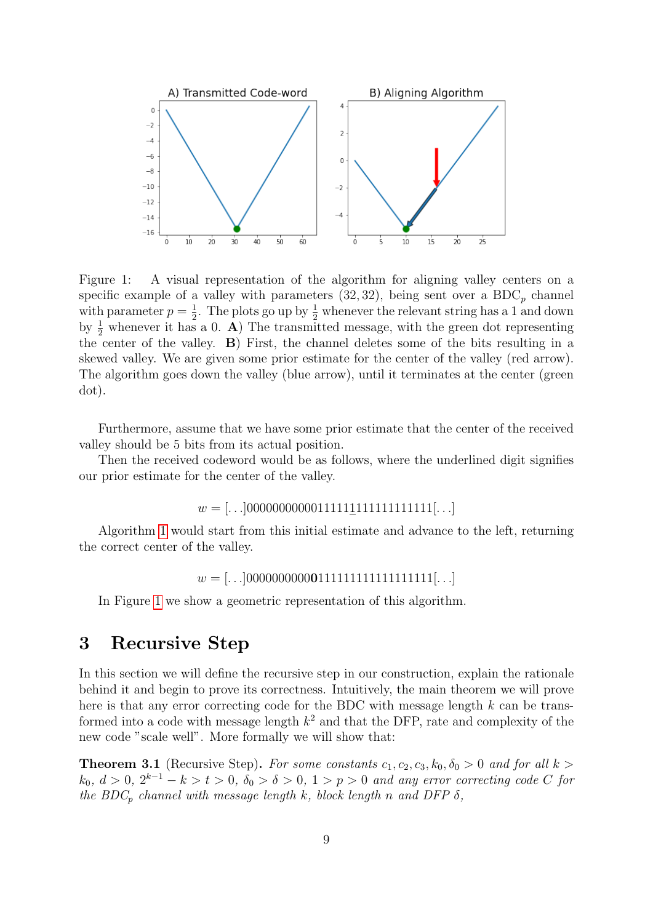

<span id="page-8-0"></span>Figure 1: A visual representation of the algorithm for aligning valley centers on a specific example of a valley with parameters  $(32, 32)$ , being sent over a BDC<sub>p</sub> channel with parameter  $p=\frac{1}{2}$  $\frac{1}{2}$ . The plots go up by  $\frac{1}{2}$  whenever the relevant string has a 1 and down by  $\frac{1}{2}$  whenever it has a 0. A) The transmitted message, with the green dot representing the center of the valley. B) First, the channel deletes some of the bits resulting in a skewed valley. We are given some prior estimate for the center of the valley (red arrow). The algorithm goes down the valley (blue arrow), until it terminates at the center (green dot).

Furthermore, assume that we have some prior estimate that the center of the received valley should be 5 bits from its actual position.

Then the received codeword would be as follows, where the underlined digit signifies our prior estimate for the center of the valley.

 $w =$  [...]0000000000011111111111111111111...]

Algorithm [1](#page-7-0) would start from this initial estimate and advance to the left, returning the correct center of the valley.

 $w =$  [...]000000000001111111111111111111[...]

In Figure [1](#page-8-0) we show a geometric representation of this algorithm.

# <span id="page-8-1"></span>3 Recursive Step

In this section we will define the recursive step in our construction, explain the rationale behind it and begin to prove its correctness. Intuitively, the main theorem we will prove here is that any error correcting code for the BDC with message length  $k$  can be transformed into a code with message length  $k^2$  and that the DFP, rate and complexity of the new code "scale well". More formally we will show that:

<span id="page-8-2"></span>**Theorem 3.1** (Recursive Step). For some constants  $c_1, c_2, c_3, k_0, \delta_0 > 0$  and for all  $k >$  $k_0, d > 0, 2^{k-1} - k > t > 0, \delta_0 > \delta > 0, 1 > p > 0$  and any error correcting code C for the BDC<sub>p</sub> channel with message length k, block length n and DFP  $\delta$ ,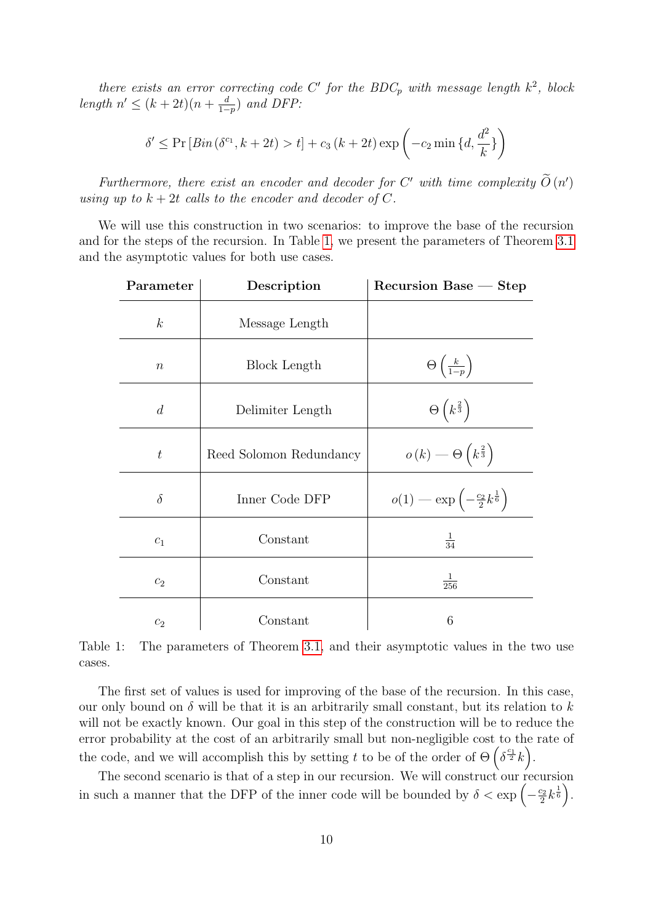there exists an error correcting code C' for the BDC<sub>p</sub> with message length  $k^2$ , block length  $n' \leq (k+2t)(n+\frac{d}{1-t})$  $\frac{d}{1-p}$ ) and DFP:

$$
\delta' \le \Pr\left[\operatorname{Bin}\left(\delta^{c_1}, k + 2t\right) > t\right] + c_3\left(k + 2t\right) \exp\left(-c_2 \min\left\{d, \frac{d^2}{k}\right\}\right)
$$

Furthermore, there exist an encoder and decoder for C' with time complexity  $\tilde{O}(n')$ using up to  $k + 2t$  calls to the encoder and decoder of C.

We will use this construction in two scenarios: to improve the base of the recursion and for the steps of the recursion. In Table [1,](#page-9-0) we present the parameters of Theorem [3.1](#page-8-2) and the asymptotic values for both use cases.

| Parameter        | Description             | $Recursion$ Base $-$ Step                                 |
|------------------|-------------------------|-----------------------------------------------------------|
| $\boldsymbol{k}$ | Message Length          |                                                           |
| $\boldsymbol{n}$ | Block Length            | $\Theta\left(\frac{k}{1-p}\right)$                        |
| $\overline{d}$   | Delimiter Length        | $\Theta\left(k^{\frac{2}{3}}\right)$                      |
| $\boldsymbol{t}$ | Reed Solomon Redundancy | $o(k) \longrightarrow \Theta\left(k^{\frac{2}{3}}\right)$ |
| $\delta$         | Inner Code DFP          | $o(1)$ — exp $\left(-\frac{c_2}{2}k^{\frac{1}{6}}\right)$ |
| C <sub>1</sub>   | Constant                | $\frac{1}{34}$                                            |
| $c_2$            | Constant                | $\frac{1}{256}$                                           |
| c <sub>2</sub>   | Constant                | 6                                                         |

<span id="page-9-0"></span>Table 1: The parameters of Theorem [3.1,](#page-8-2) and their asymptotic values in the two use cases.

The first set of values is used for improving of the base of the recursion. In this case, our only bound on  $\delta$  will be that it is an arbitrarily small constant, but its relation to k will not be exactly known. Our goal in this step of the construction will be to reduce the error probability at the cost of an arbitrarily small but non-negligible cost to the rate of the code, and we will accomplish this by setting t to be of the order of  $\Theta\left(\delta^{\frac{c_1}{2}}k\right)$ .

The second scenario is that of a step in our recursion. We will construct our recursion in such a manner that the DFP of the inner code will be bounded by  $\delta < \exp\left(-\frac{c_2}{2}\right)$  $\frac{c_2}{2}k^{\frac{1}{6}}\Big).$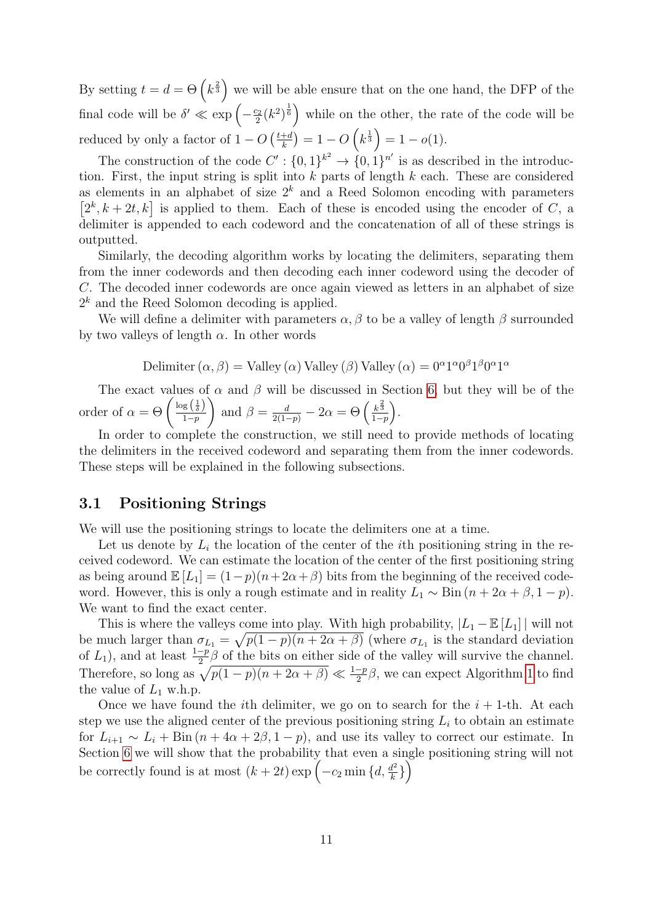By setting  $t = d = \Theta\left(k^{\frac{2}{3}}\right)$  we will be able ensure that on the one hand, the DFP of the final code will be  $\delta' \ll \exp\left(-\frac{c_2}{2}\right)$  $\left(\frac{c_2}{2}(k^2)^{\frac{1}{6}}\right)$  while on the other, the rate of the code will be reduced by only a factor of  $1 - O\left(\frac{t+d}{k}\right)$  $\frac{+d}{k}$ ) = 1 – O  $\left(k^{\frac{1}{3}}\right)$  = 1 – o(1).

The construction of the code  $C' : \{0,1\}^{k^2} \to \{0,1\}^{n'}$  is as described in the introduction. First, the input string is split into  $k$  parts of length  $k$  each. These are considered as elements in an alphabet of size  $2^k$  and a Reed Solomon encoding with parameters  $[2^k, k+2t, k]$  is applied to them. Each of these is encoded using the encoder of C, a delimiter is appended to each codeword and the concatenation of all of these strings is outputted.

Similarly, the decoding algorithm works by locating the delimiters, separating them from the inner codewords and then decoding each inner codeword using the decoder of C. The decoded inner codewords are once again viewed as letters in an alphabet of size  $2<sup>k</sup>$  and the Reed Solomon decoding is applied.

We will define a delimiter with parameters  $\alpha$ ,  $\beta$  to be a valley of length  $\beta$  surrounded by two valleys of length  $\alpha$ . In other words

Delimiter 
$$
(\alpha, \beta)
$$
 = Valley  $(\alpha)$  Valley  $(\beta)$  Valley  $(\alpha) = 0^{\alpha} 1^{\alpha} 0^{\beta} 1^{\beta} 0^{\alpha} 1^{\alpha}$ 

The exact values of  $\alpha$  and  $\beta$  will be discussed in Section [6,](#page-16-0) but they will be of the order of  $\alpha = \Theta\left(\frac{\log\left(\frac{1}{\delta}\right)}{1-n}\right)$  $1-p$  $\setminus$ and  $\beta = \frac{d}{2(1-p)} - 2\alpha = \Theta\left(\frac{k^{\frac{2}{3}}}{1-p}\right)$  $\frac{k^{\frac{2}{3}}}{1-p}$ .

In order to complete the construction, we still need to provide methods of locating the delimiters in the received codeword and separating them from the inner codewords. These steps will be explained in the following subsections.

### <span id="page-10-0"></span>3.1 Positioning Strings

We will use the positioning strings to locate the delimiters one at a time.

Let us denote by  $L_i$  the location of the center of the *i*th positioning string in the received codeword. We can estimate the location of the center of the first positioning string as being around  $\mathbb{E}[L_1] = (1-p)(n+2\alpha+\beta)$  bits from the beginning of the received codeword. However, this is only a rough estimate and in reality  $L_1 \sim \text{Bin}(n + 2\alpha + \beta, 1 - p)$ . We want to find the exact center.

This is where the valleys come into play. With high probability,  $|L_1 - \mathbb{E}[L_1]|$  will not be much larger than  $\sigma_{L_1} = \sqrt{p(1-p)(n+2\alpha+\beta)}$  (where  $\sigma_{L_1}$  is the standard deviation of  $L_1$ ), and at least  $\frac{1-p}{2}\beta$  of the bits on either side of the valley will survive the channel. Therefore, so long as  $\sqrt{p(1-p)(n+2\alpha+\beta)} \ll \frac{1-p}{2}\beta$ , we can expect Algorithm [1](#page-7-0) to find the value of  $L_1$  w.h.p.

Once we have found the *i*th delimiter, we go on to search for the  $i + 1$ -th. At each step we use the aligned center of the previous positioning string  $L_i$  to obtain an estimate for  $L_{i+1} \sim L_i + \text{Bin}(n + 4\alpha + 2\beta, 1 - p)$ , and use its valley to correct our estimate. In Section [6](#page-16-0) we will show that the probability that even a single positioning string will not be correctly found is at most  $(k+2t) \exp \left(-c_2 \min \{d, \frac{d^2}{k}\}\right)$  $\frac{d^2}{k}$ } $\Big)$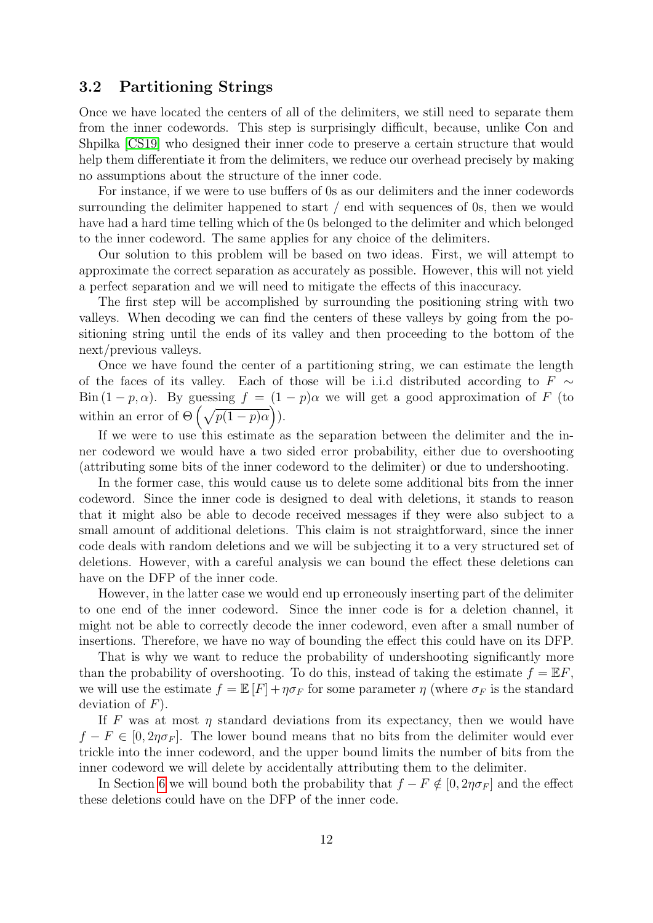### 3.2 Partitioning Strings

Once we have located the centers of all of the delimiters, we still need to separate them from the inner codewords. This step is surprisingly difficult, because, unlike Con and Shpilka [\[CS19\]](#page-23-0) who designed their inner code to preserve a certain structure that would help them differentiate it from the delimiters, we reduce our overhead precisely by making no assumptions about the structure of the inner code.

For instance, if we were to use buffers of 0s as our delimiters and the inner codewords surrounding the delimiter happened to start / end with sequences of 0s, then we would have had a hard time telling which of the 0s belonged to the delimiter and which belonged to the inner codeword. The same applies for any choice of the delimiters.

Our solution to this problem will be based on two ideas. First, we will attempt to approximate the correct separation as accurately as possible. However, this will not yield a perfect separation and we will need to mitigate the effects of this inaccuracy.

The first step will be accomplished by surrounding the positioning string with two valleys. When decoding we can find the centers of these valleys by going from the positioning string until the ends of its valley and then proceeding to the bottom of the next/previous valleys.

Once we have found the center of a partitioning string, we can estimate the length of the faces of its valley. Each of those will be i.i.d distributed according to  $F \sim$ Bin  $(1 - p, \alpha)$ . By guessing  $f = (1 - p)\alpha$  we will get a good approximation of F (to within an error of  $\Theta\left(\sqrt{p(1-p)\alpha}\right)$ .

If we were to use this estimate as the separation between the delimiter and the inner codeword we would have a two sided error probability, either due to overshooting (attributing some bits of the inner codeword to the delimiter) or due to undershooting.

In the former case, this would cause us to delete some additional bits from the inner codeword. Since the inner code is designed to deal with deletions, it stands to reason that it might also be able to decode received messages if they were also subject to a small amount of additional deletions. This claim is not straightforward, since the inner code deals with random deletions and we will be subjecting it to a very structured set of deletions. However, with a careful analysis we can bound the effect these deletions can have on the DFP of the inner code.

However, in the latter case we would end up erroneously inserting part of the delimiter to one end of the inner codeword. Since the inner code is for a deletion channel, it might not be able to correctly decode the inner codeword, even after a small number of insertions. Therefore, we have no way of bounding the effect this could have on its DFP.

That is why we want to reduce the probability of undershooting significantly more than the probability of overshooting. To do this, instead of taking the estimate  $f = \mathbb{E} F$ , we will use the estimate  $f = \mathbb{E}[F] + \eta \sigma_F$  for some parameter  $\eta$  (where  $\sigma_F$  is the standard deviation of  $F$ ).

If F was at most  $\eta$  standard deviations from its expectancy, then we would have  $f - F \in [0, 2\eta \sigma_F]$ . The lower bound means that no bits from the delimiter would ever trickle into the inner codeword, and the upper bound limits the number of bits from the inner codeword we will delete by accidentally attributing them to the delimiter.

In Section [6](#page-16-0) we will bound both the probability that  $f - F \notin [0, 2\eta \sigma_F]$  and the effect these deletions could have on the DFP of the inner code.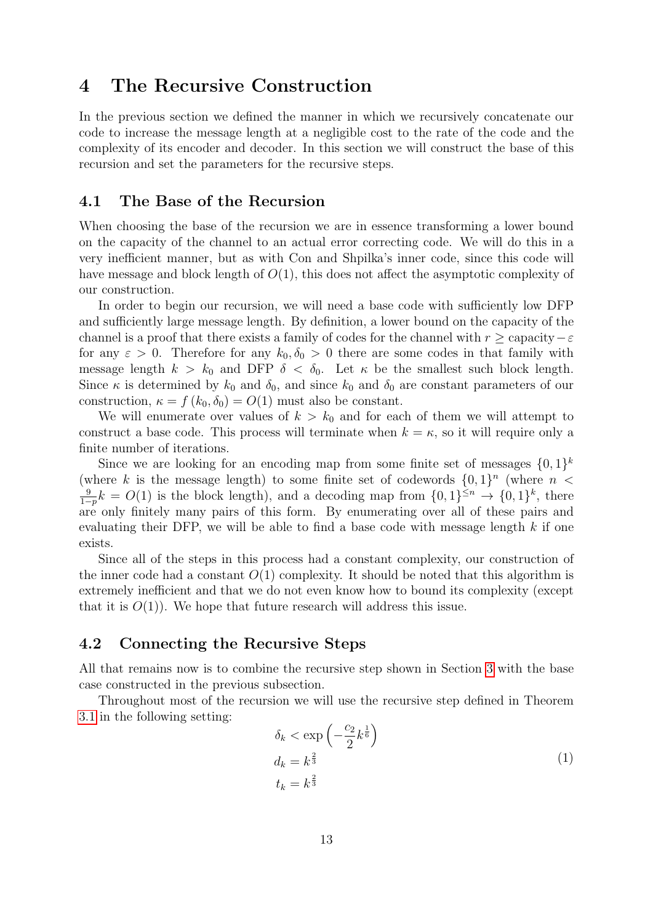# <span id="page-12-1"></span>4 The Recursive Construction

In the previous section we defined the manner in which we recursively concatenate our code to increase the message length at a negligible cost to the rate of the code and the complexity of its encoder and decoder. In this section we will construct the base of this recursion and set the parameters for the recursive steps.

### <span id="page-12-0"></span>4.1 The Base of the Recursion

When choosing the base of the recursion we are in essence transforming a lower bound on the capacity of the channel to an actual error correcting code. We will do this in a very inefficient manner, but as with Con and Shpilka's inner code, since this code will have message and block length of  $O(1)$ , this does not affect the asymptotic complexity of our construction.

In order to begin our recursion, we will need a base code with sufficiently low DFP and sufficiently large message length. By definition, a lower bound on the capacity of the channel is a proof that there exists a family of codes for the channel with  $r \geq$  capacity  $-\varepsilon$ for any  $\varepsilon > 0$ . Therefore for any  $k_0, \delta_0 > 0$  there are some codes in that family with message length  $k > k_0$  and DFP  $\delta < \delta_0$ . Let  $\kappa$  be the smallest such block length. Since  $\kappa$  is determined by  $k_0$  and  $\delta_0$ , and since  $k_0$  and  $\delta_0$  are constant parameters of our construction,  $\kappa = f(k_0, \delta_0) = O(1)$  must also be constant.

We will enumerate over values of  $k > k_0$  and for each of them we will attempt to construct a base code. This process will terminate when  $k = \kappa$ , so it will require only a finite number of iterations.

Since we are looking for an encoding map from some finite set of messages  $\{0,1\}^k$ (where k is the message length) to some finite set of codewords  $\{0,1\}^n$  (where  $n <$ 9  $\frac{9}{1-p}k = O(1)$  is the block length), and a decoding map from  $\{0, 1\}^{\leq n}$  →  $\{0, 1\}^k$ , there are only finitely many pairs of this form. By enumerating over all of these pairs and evaluating their DFP, we will be able to find a base code with message length  $k$  if one exists.

Since all of the steps in this process had a constant complexity, our construction of the inner code had a constant  $O(1)$  complexity. It should be noted that this algorithm is extremely inefficient and that we do not even know how to bound its complexity (except that it is  $O(1)$ . We hope that future research will address this issue.

### 4.2 Connecting the Recursive Steps

All that remains now is to combine the recursive step shown in Section [3](#page-8-1) with the base case constructed in the previous subsection.

Throughout most of the recursion we will use the recursive step defined in Theorem [3.1](#page-8-2) in the following setting:

$$
\delta_k < \exp\left(-\frac{c_2}{2}k^{\frac{1}{6}}\right) \nd_k = k^{\frac{2}{3}} \nt_k = k^{\frac{2}{3}}
$$
\n
$$
(1)
$$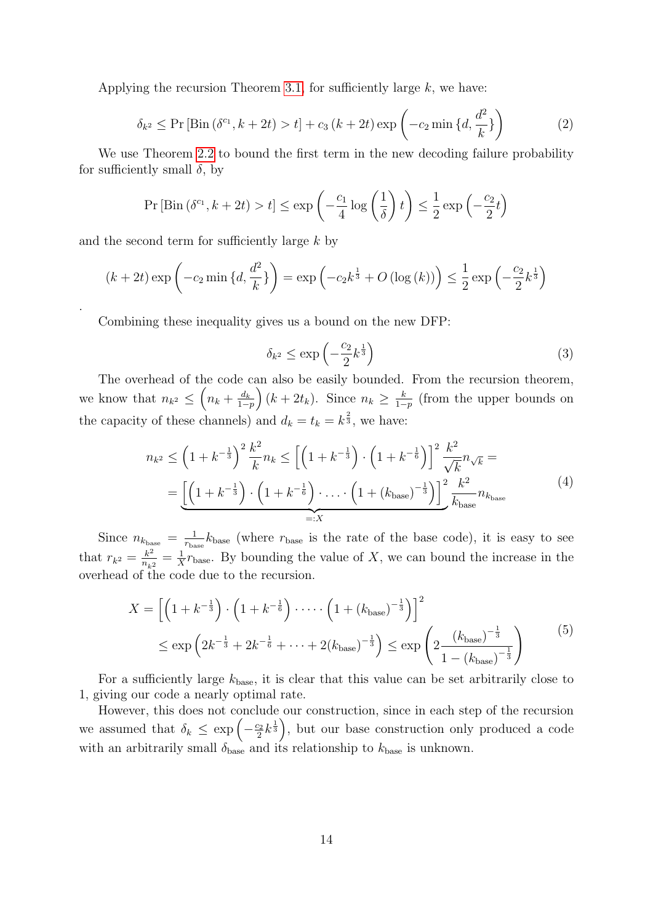Applying the recursion Theorem [3.1,](#page-8-2) for sufficiently large  $k$ , we have:

$$
\delta_{k^2} \le \Pr\left[\text{Bin}\left(\delta^{c_1}, k + 2t\right) > t\right] + c_3 \left(k + 2t\right) \exp\left(-c_2 \min\left\{d, \frac{d^2}{k}\right\}\right) \tag{2}
$$

We use Theorem [2.2](#page-6-0) to bound the first term in the new decoding failure probability for sufficiently small  $\delta$ , by

$$
\Pr\left[\text{Bin}\left(\delta^{c_1}, k + 2t\right) > t\right] \le \exp\left(-\frac{c_1}{4}\log\left(\frac{1}{\delta}\right)t\right) \le \frac{1}{2}\exp\left(-\frac{c_2}{2}t\right)
$$

and the second term for sufficiently large  $k$  by

.

$$
(k+2t)\exp\left(-c_2\min\left\{d,\frac{d^2}{k}\right\}\right) = \exp\left(-c_2k^{\frac{1}{3}} + O\left(\log\left(k\right)\right)\right) \le \frac{1}{2}\exp\left(-\frac{c_2}{2}k^{\frac{1}{3}}\right)
$$

Combining these inequality gives us a bound on the new DFP:

$$
\delta_{k^2} \le \exp\left(-\frac{c_2}{2}k^{\frac{1}{3}}\right) \tag{3}
$$

<span id="page-13-0"></span>The overhead of the code can also be easily bounded. From the recursion theorem, we know that  $n_{k^2} \leq \left(n_k + \frac{d_k}{1 -}\right)$  $\left(\frac{d_k}{1-p}\right)(k+2t_k)$ . Since  $n_k \geq \frac{k}{1-p}$  $\frac{k}{1-p}$  (from the upper bounds on the capacity of these channels) and  $d_k = t_k = k^{\frac{2}{3}}$ , we have:

$$
n_{k^2} \le \left(1 + k^{-\frac{1}{3}}\right)^2 \frac{k^2}{k} n_k \le \left[\left(1 + k^{-\frac{1}{3}}\right) \cdot \left(1 + k^{-\frac{1}{6}}\right)\right]^2 \frac{k^2}{\sqrt{k}} n_{\sqrt{k}} =
$$
  
= 
$$
\underbrace{\left[\left(1 + k^{-\frac{1}{3}}\right) \cdot \left(1 + k^{-\frac{1}{6}}\right) \cdot \ldots \cdot \left(1 + \left(k_{\text{base}}\right)^{-\frac{1}{3}}\right)\right]^2} \frac{k^2}{k_{\text{base}}} n_{k_{\text{base}}} \tag{4}
$$

<span id="page-13-1"></span>Since  $n_{k_{\text{base}}} = \frac{1}{r_{\text{ba}}}$  $\frac{1}{r_{\text{base}}}$   $k_{\text{base}}$  (where  $r_{\text{base}}$  is the rate of the base code), it is easy to see that  $r_{k^2} = \frac{k^2}{n}$  $\frac{k^2}{n_{k^2}} = \frac{1}{X}$  $\frac{1}{X}r_{\text{base}}$ . By bounding the value of X, we can bound the increase in the overhead of the code due to the recursion.

$$
X = \left[ \left( 1 + k^{-\frac{1}{3}} \right) \cdot \left( 1 + k^{-\frac{1}{6}} \right) \cdot \dots \cdot \left( 1 + (k_{\text{base}})^{-\frac{1}{3}} \right) \right]^2
$$
  
 
$$
\leq \exp \left( 2k^{-\frac{1}{3}} + 2k^{-\frac{1}{6}} + \dots + 2(k_{\text{base}})^{-\frac{1}{3}} \right) \leq \exp \left( 2 \frac{\left( k_{\text{base}} \right)^{-\frac{1}{3}}}{1 - \left( k_{\text{base}} \right)^{-\frac{1}{3}}} \right)
$$
 (5)

For a sufficiently large  $k_{base}$ , it is clear that this value can be set arbitrarily close to 1, giving our code a nearly optimal rate.

However, this does not conclude our construction, since in each step of the recursion we assumed that  $\delta_k \leq \exp\left(-\frac{c_2}{2}\right)$  $\left(\frac{2}{2}k^{\frac{1}{3}}\right)$ , but our base construction only produced a code with an arbitrarily small  $\delta_{base}$  and its relationship to  $k_{base}$  is unknown.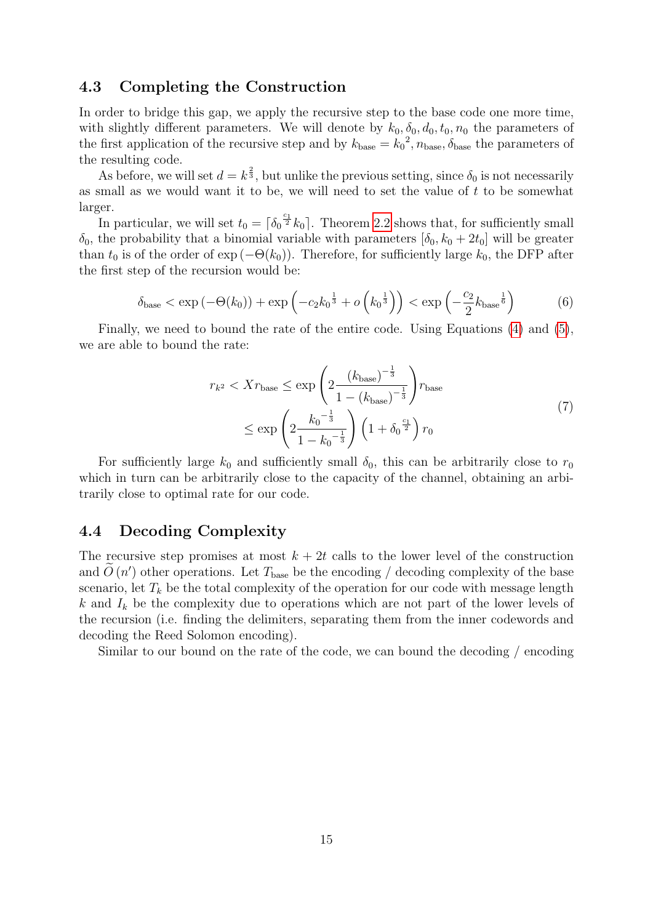### 4.3 Completing the Construction

In order to bridge this gap, we apply the recursive step to the base code one more time, with slightly different parameters. We will denote by  $k_0, \delta_0, d_0, t_0, n_0$  the parameters of the first application of the recursive step and by  $k_{base} = k_0^2$ ,  $n_{base}$ ,  $\delta_{base}$  the parameters of the resulting code.

As before, we will set  $d = k^{\frac{2}{3}}$ , but unlike the previous setting, since  $\delta_0$  is not necessarily as small as we would want it to be, we will need to set the value of  $t$  to be somewhat larger.

In particular, we will set  $t_0 = \lceil \delta_0^{\frac{c_1}{2}} k_0 \rceil$ . Theorem [2.2](#page-6-0) shows that, for sufficiently small  $\delta_0$ , the probability that a binomial variable with parameters  $[\delta_0, k_0 + 2t_0]$  will be greater than  $t_0$  is of the order of  $\exp(-\Theta(k_0))$ . Therefore, for sufficiently large  $k_0$ , the DFP after the first step of the recursion would be:

$$
\delta_{\text{base}} < \exp\left(-\Theta(k_0)\right) + \exp\left(-c_2 k_0^{\frac{1}{3}} + o\left(k_0^{\frac{1}{3}}\right)\right) < \exp\left(-\frac{c_2}{2} k_{\text{base}}^{\frac{1}{6}}\right) \tag{6}
$$

Finally, we need to bound the rate of the entire code. Using Equations [\(4\)](#page-13-0) and [\(5\)](#page-13-1), we are able to bound the rate:

$$
r_{k^2} < Xr_{\text{base}} \le \exp\left(2\frac{\left(k_{\text{base}}\right)^{-\frac{1}{3}}}{1 - \left(k_{\text{base}}\right)^{-\frac{1}{3}}}\right) r_{\text{base}}
$$
\n
$$
\le \exp\left(2\frac{k_0^{-\frac{1}{3}}}{1 - k_0^{-\frac{1}{3}}}\right) \left(1 + \delta_0^{-\frac{c_1}{2}}\right) r_0 \tag{7}
$$

For sufficiently large  $k_0$  and sufficiently small  $\delta_0$ , this can be arbitrarily close to  $r_0$ which in turn can be arbitrarily close to the capacity of the channel, obtaining an arbitrarily close to optimal rate for our code.

### 4.4 Decoding Complexity

The recursive step promises at most  $k + 2t$  calls to the lower level of the construction and  $\tilde{O}(n')$  other operations. Let  $T_{\text{base}}$  be the encoding / decoding complexity of the base scenario, let  $T_k$  be the total complexity of the operation for our code with message length k and  $I_k$  be the complexity due to operations which are not part of the lower levels of the recursion (i.e. finding the delimiters, separating them from the inner codewords and decoding the Reed Solomon encoding).

Similar to our bound on the rate of the code, we can bound the decoding / encoding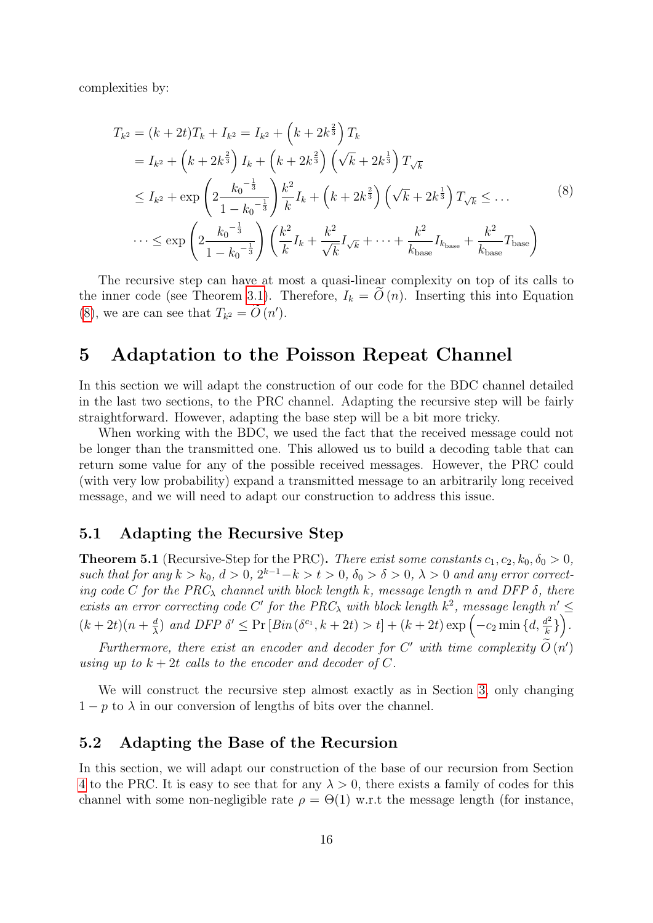<span id="page-15-1"></span>complexities by:

$$
T_{k^2} = (k + 2t)T_k + I_{k^2} = I_{k^2} + (k + 2k^{\frac{2}{3}})T_k
$$
  
\n
$$
= I_{k^2} + (k + 2k^{\frac{2}{3}})I_k + (k + 2k^{\frac{2}{3}}) (\sqrt{k} + 2k^{\frac{1}{3}}) T_{\sqrt{k}}
$$
  
\n
$$
\leq I_{k^2} + \exp\left(2\frac{k_0^{-\frac{1}{3}}}{1 - k_0^{-\frac{1}{3}}}\right) \frac{k^2}{k} I_k + (k + 2k^{\frac{2}{3}}) (\sqrt{k} + 2k^{\frac{1}{3}}) T_{\sqrt{k}} \leq \dots
$$
  
\n
$$
\dots \leq \exp\left(2\frac{k_0^{-\frac{1}{3}}}{1 - k_0^{-\frac{1}{3}}}\right) \left(\frac{k^2}{k} I_k + \frac{k^2}{\sqrt{k}} I_{\sqrt{k}} + \dots + \frac{k^2}{k_{\text{base}}} I_{k_{\text{base}}} + \frac{k^2}{k_{\text{base}}} T_{\text{base}}\right)
$$
  
\n(8)

The recursive step can have at most a quasi-linear complexity on top of its calls to the inner code (see Theorem [3.1\)](#page-8-2). Therefore,  $I_k = O(n)$ . Inserting this into Equation [\(8\)](#page-15-1), we are can see that  $T_{k^2} = \tilde{O}(n').$ 

### <span id="page-15-0"></span>5 Adaptation to the Poisson Repeat Channel

In this section we will adapt the construction of our code for the BDC channel detailed in the last two sections, to the PRC channel. Adapting the recursive step will be fairly straightforward. However, adapting the base step will be a bit more tricky.

When working with the BDC, we used the fact that the received message could not be longer than the transmitted one. This allowed us to build a decoding table that can return some value for any of the possible received messages. However, the PRC could (with very low probability) expand a transmitted message to an arbitrarily long received message, and we will need to adapt our construction to address this issue.

### 5.1 Adapting the Recursive Step

<span id="page-15-2"></span>**Theorem 5.1** (Recursive-Step for the PRC). There exist some constants  $c_1, c_2, k_0, \delta_0 > 0$ , such that for any  $k > k_0$ ,  $d > 0$ ,  $2^{k-1} - k > t > 0$ ,  $\delta_0 > \delta > 0$ ,  $\lambda > 0$  and any error correcting code C for the PRC<sub> $\lambda$ </sub> channel with block length k, message length n and DFP  $\delta$ , there exists an error correcting code C' for the PRC<sub> $\lambda$ </sub> with block length  $k^2$ , message length  $n' \leq$  $(k+2t)(n+\frac{d}{\lambda})$  $\frac{d}{\lambda}$ ) and DFP  $\delta' \leq \Pr \left[ Bin\left(\delta^{c_1}, k + 2t\right) > t \right] + \left(k + 2t\right) \exp \left(-c_2 \min \left\{d, \frac{d^2}{k}\right\}\right)$  $\frac{d^2}{k}$ } $\Big)$ .

Furthermore, there exist an encoder and decoder for C' with time complexity  $\tilde{O}(n')$ using up to  $k + 2t$  calls to the encoder and decoder of C.

We will construct the recursive step almost exactly as in Section [3,](#page-8-1) only changing  $1 - p$  to  $\lambda$  in our conversion of lengths of bits over the channel.

### 5.2 Adapting the Base of the Recursion

In this section, we will adapt our construction of the base of our recursion from Section [4](#page-12-1) to the PRC. It is easy to see that for any  $\lambda > 0$ , there exists a family of codes for this channel with some non-negligible rate  $\rho = \Theta(1)$  w.r.t the message length (for instance,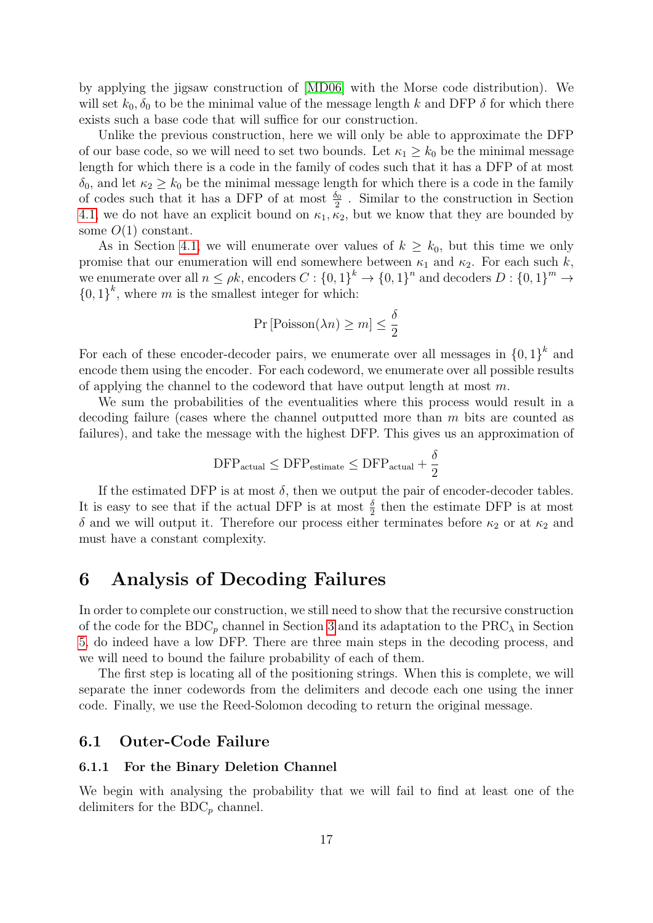by applying the jigsaw construction of [\[MD06\]](#page-24-5) with the Morse code distribution). We will set  $k_0$ ,  $\delta_0$  to be the minimal value of the message length k and DFP  $\delta$  for which there exists such a base code that will suffice for our construction.

Unlike the previous construction, here we will only be able to approximate the DFP of our base code, so we will need to set two bounds. Let  $\kappa_1 \geq k_0$  be the minimal message length for which there is a code in the family of codes such that it has a DFP of at most  $\delta_0$ , and let  $\kappa_2 \geq k_0$  be the minimal message length for which there is a code in the family of codes such that it has a DFP of at most  $\frac{\delta_0}{2}$ . Similar to the construction in Section [4.1,](#page-12-0) we do not have an explicit bound on  $\kappa_1, \kappa_2$ , but we know that they are bounded by some  $O(1)$  constant.

As in Section [4.1,](#page-12-0) we will enumerate over values of  $k \geq k_0$ , but this time we only promise that our enumeration will end somewhere between  $\kappa_1$  and  $\kappa_2$ . For each such k, we enumerate over all  $n \le \rho k$ , encoders  $C: \{0,1\}^k \to \{0,1\}^n$  and decoders  $D: \{0,1\}^m \to$  ${0,1}^k$ , where m is the smallest integer for which:

$$
\Pr\left[\text{Poisson}(\lambda n) \ge m\right] \le \frac{\delta}{2}
$$

For each of these encoder-decoder pairs, we enumerate over all messages in  ${0,1}^k$  and encode them using the encoder. For each codeword, we enumerate over all possible results of applying the channel to the codeword that have output length at most  $m$ .

We sum the probabilities of the eventualities where this process would result in a decoding failure (cases where the channel outputted more than m bits are counted as failures), and take the message with the highest DFP. This gives us an approximation of

$$
\mathrm{DFP}_{\mathrm{actual}} \leq \mathrm{DFP}_{\mathrm{estimate}} \leq \mathrm{DFP}_{\mathrm{actual}} + \frac{\delta}{2}
$$

If the estimated DFP is at most  $\delta$ , then we output the pair of encoder-decoder tables. It is easy to see that if the actual DFP is at most  $\frac{\delta}{2}$  then the estimate DFP is at most δ and we will output it. Therefore our process either terminates before  $κ_2$  or at  $κ_2$  and must have a constant complexity.

## <span id="page-16-0"></span>6 Analysis of Decoding Failures

In order to complete our construction, we still need to show that the recursive construction of the code for the BDC<sub>p</sub> channel in Section [3](#page-8-1) and its adaptation to the PRC<sub> $\lambda$ </sub> in Section [5,](#page-15-0) do indeed have a low DFP. There are three main steps in the decoding process, and we will need to bound the failure probability of each of them.

The first step is locating all of the positioning strings. When this is complete, we will separate the inner codewords from the delimiters and decode each one using the inner code. Finally, we use the Reed-Solomon decoding to return the original message.

### 6.1 Outer-Code Failure

#### 6.1.1 For the Binary Deletion Channel

We begin with analysing the probability that we will fail to find at least one of the delimiters for the  $BDC_p$  channel.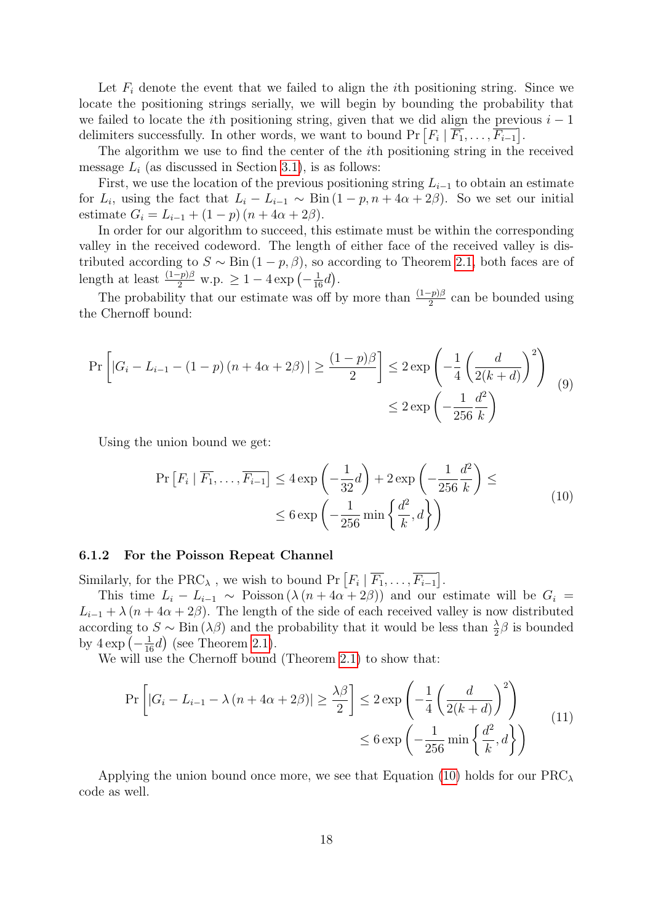Let  $F_i$  denote the event that we failed to align the *i*th positioning string. Since we locate the positioning strings serially, we will begin by bounding the probability that we failed to locate the *i*th positioning string, given that we did align the previous  $i - 1$ delimiters successfully. In other words, we want to bound  $Pr[F_i | F_1, \ldots, F_{i-1}]$ .

The algorithm we use to find the center of the ith positioning string in the received message  $L_i$  (as discussed in Section [3.1\)](#page-10-0), is as follows:

First, we use the location of the previous positioning string  $L_{i-1}$  to obtain an estimate for  $L_i$ , using the fact that  $L_i - L_{i-1} \sim \text{Bin}(1-p, n + 4\alpha + 2\beta)$ . So we set our initial estimate  $G_i = L_{i-1} + (1-p)(n+4\alpha+2\beta)$ .

In order for our algorithm to succeed, this estimate must be within the corresponding valley in the received codeword. The length of either face of the received valley is distributed according to  $S \sim \text{Bin}(1-p, \beta)$ , so according to Theorem [2.1,](#page-6-1) both faces are of length at least  $\frac{(1-p)\beta}{2}$  w.p.  $\geq 1-4 \exp\left(-\frac{1}{16}d\right)$ .

The probability that our estimate was off by more than  $\frac{(1-p)\beta}{2}$  can be bounded using the Chernoff bound:

$$
\Pr\left[|G_i - L_{i-1} - (1-p)(n+4\alpha+2\beta)| \ge \frac{(1-p)\beta}{2}\right] \le 2\exp\left(-\frac{1}{4}\left(\frac{d}{2(k+d)}\right)^2\right) \tag{9}
$$

$$
\le 2\exp\left(-\frac{1}{256}\frac{d^2}{k}\right)
$$

<span id="page-17-0"></span>Using the union bound we get:

$$
\Pr\left[F_i \mid \overline{F_1}, \dots, \overline{F_{i-1}}\right] \le 4 \exp\left(-\frac{1}{32}d\right) + 2 \exp\left(-\frac{1}{256}\frac{d^2}{k}\right) \le \\\le 6 \exp\left(-\frac{1}{256}\min\left\{\frac{d^2}{k}, d\right\}\right) \tag{10}
$$

#### 6.1.2 For the Poisson Repeat Channel

Similarly, for the PRC<sub> $\lambda$ </sub>, we wish to bound Pr  $\lceil F_i \rceil \overline{F_1}, \ldots, \overline{F_{i-1}} \rceil$ .

This time  $L_i - L_{i-1} \sim \text{Poisson}(\lambda (n + 4\alpha + 2\beta))$  and our estimate will be  $G_i =$  $L_{i-1} + \lambda (n + 4\alpha + 2\beta)$ . The length of the side of each received valley is now distributed according to  $S \sim \text{Bin}(\lambda \beta)$  and the probability that it would be less than  $\frac{\lambda}{2} \beta$  is bounded by  $4 \exp\left(-\frac{1}{16}d\right)$  (see Theorem [2.1\)](#page-6-1).

We will use the Chernoff bound (Theorem [2.1\)](#page-6-1) to show that:

$$
\Pr\left[|G_i - L_{i-1} - \lambda (n + 4\alpha + 2\beta)| \ge \frac{\lambda \beta}{2}\right] \le 2 \exp\left(-\frac{1}{4}\left(\frac{d}{2(k+d)}\right)^2\right) \le 6 \exp\left(-\frac{1}{256}\min\left\{\frac{d^2}{k}, d\right\}\right)
$$
\n(11)

Applying the union bound once more, we see that Equation [\(10\)](#page-17-0) holds for our  $PRC_{\lambda}$ code as well.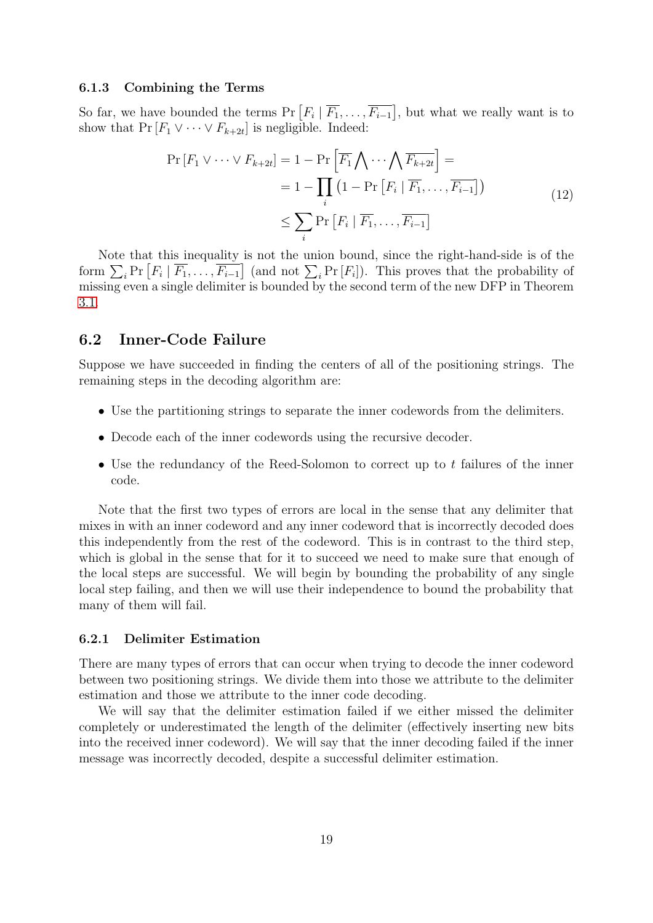#### 6.1.3 Combining the Terms

So far, we have bounded the terms  $Pr[F_i | F_1, \ldots, F_{i-1}],$  but what we really want is to show that  $Pr[F_1 \lor \cdots \lor F_{k+2t}]$  is negligible. Indeed:

$$
\Pr\left[F_1 \vee \cdots \vee F_{k+2t}\right] = 1 - \Pr\left[\overline{F_1} \bigwedge \cdots \bigwedge \overline{F_{k+2t}}\right] =
$$
\n
$$
= 1 - \prod_i \left(1 - \Pr\left[F_i \mid \overline{F_1}, \dots, \overline{F_{i-1}}\right]\right)
$$
\n
$$
\leq \sum_i \Pr\left[F_i \mid \overline{F_1}, \dots, \overline{F_{i-1}}\right]
$$
\n(12)

Note that this inequality is not the union bound, since the right-hand-side is of the form  $\sum_i \Pr[F_i | \overline{F_1}, \ldots, \overline{F_{i-1}}]$  (and not  $\sum_i \Pr[F_i]$ ). This proves that the probability of missing even a single delimiter is bounded by the second term of the new DFP in Theorem [3.1.](#page-8-2)

### 6.2 Inner-Code Failure

Suppose we have succeeded in finding the centers of all of the positioning strings. The remaining steps in the decoding algorithm are:

- Use the partitioning strings to separate the inner codewords from the delimiters.
- Decode each of the inner codewords using the recursive decoder.
- Use the redundancy of the Reed-Solomon to correct up to t failures of the inner code.

Note that the first two types of errors are local in the sense that any delimiter that mixes in with an inner codeword and any inner codeword that is incorrectly decoded does this independently from the rest of the codeword. This is in contrast to the third step, which is global in the sense that for it to succeed we need to make sure that enough of the local steps are successful. We will begin by bounding the probability of any single local step failing, and then we will use their independence to bound the probability that many of them will fail.

#### 6.2.1 Delimiter Estimation

There are many types of errors that can occur when trying to decode the inner codeword between two positioning strings. We divide them into those we attribute to the delimiter estimation and those we attribute to the inner code decoding.

We will say that the delimiter estimation failed if we either missed the delimiter completely or underestimated the length of the delimiter (effectively inserting new bits into the received inner codeword). We will say that the inner decoding failed if the inner message was incorrectly decoded, despite a successful delimiter estimation.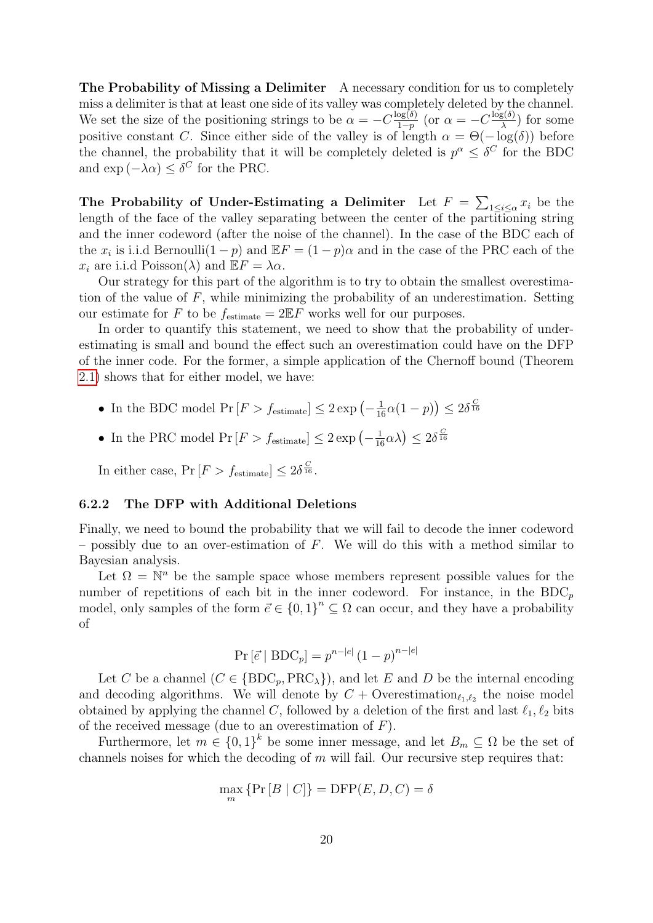The Probability of Missing a Delimiter A necessary condition for us to completely miss a delimiter is that at least one side of its valley was completely deleted by the channel. We set the size of the positioning strings to be  $\alpha = -C \frac{\log(\delta)}{1-n}$  $\frac{\log(\delta)}{1-p}$  (or  $\alpha = -C\frac{\log(\delta)}{\lambda}$  $\frac{g(o)}{\lambda}$ ) for some positive constant C. Since either side of the valley is of length  $\alpha = \Theta(-\log(\delta))$  before the channel, the probability that it will be completely deleted is  $p^{\alpha} \leq \delta^C$  for the BDC and  $\exp(-\lambda \alpha) \leq \delta^C$  for the PRC.

The Probability of Under-Estimating a Delimiter Let  $F = \sum_{1 \leq i \leq \alpha} x_i$  be the length of the face of the valley separating between the center of the partitioning string and the inner codeword (after the noise of the channel). In the case of the BDC each of the  $x_i$  is i.i.d Bernoulli $(1-p)$  and  $\mathbb{E}F = (1-p)\alpha$  and in the case of the PRC each of the  $x_i$  are i.i.d Poisson( $\lambda$ ) and  $\mathbb{E} F = \lambda \alpha$ .

Our strategy for this part of the algorithm is to try to obtain the smallest overestimation of the value of  $F$ , while minimizing the probability of an underestimation. Setting our estimate for F to be  $f_{\text{estimate}} = 2 \mathbb{E} F$  works well for our purposes.

In order to quantify this statement, we need to show that the probability of underestimating is small and bound the effect such an overestimation could have on the DFP of the inner code. For the former, a simple application of the Chernoff bound (Theorem [2.1\)](#page-6-1) shows that for either model, we have:

- In the BDC model  $Pr[F > f_{\text{estimate}}] \leq 2 \exp\left(-\frac{1}{16}\alpha(1-p)\right) \leq 2\delta^{\frac{C}{16}}$
- In the PRC model  $Pr[F > f_{estimate}] \leq 2 exp(-\frac{1}{16}\alpha\lambda) \leq 2\delta^{\frac{C}{16}}$

In either case,  $Pr[F > f_{\text{estimate}}] \leq 2\delta^{\frac{C}{16}}$ .

#### 6.2.2 The DFP with Additional Deletions

Finally, we need to bound the probability that we will fail to decode the inner codeword – possibly due to an over-estimation of  $F$ . We will do this with a method similar to Bayesian analysis.

Let  $\Omega = \mathbb{N}^n$  be the sample space whose members represent possible values for the number of repetitions of each bit in the inner codeword. For instance, in the  $BDC_p$ model, only samples of the form  $\vec{e} \in \{0,1\}^n \subseteq \Omega$  can occur, and they have a probability of

$$
Pr\left[\vec{e} \mid BDC_p\right] = p^{n-|e|} (1-p)^{n-|e|}
$$

Let C be a channel  $(C \in \{BDC_p, PRC_\lambda\})$ , and let E and D be the internal encoding and decoding algorithms. We will denote by  $C +$  Overestimation<sub> $\ell_1, \ell_2$ </sub> the noise model obtained by applying the channel C, followed by a deletion of the first and last  $\ell_1, \ell_2$  bits of the received message (due to an overestimation of  $F$ ).

Furthermore, let  $m \in \{0,1\}^k$  be some inner message, and let  $B_m \subseteq \Omega$  be the set of channels noises for which the decoding of  $m$  will fail. Our recursive step requires that:

$$
\max_{m} \{ \Pr[B | C] \} = \text{DFP}(E, D, C) = \delta
$$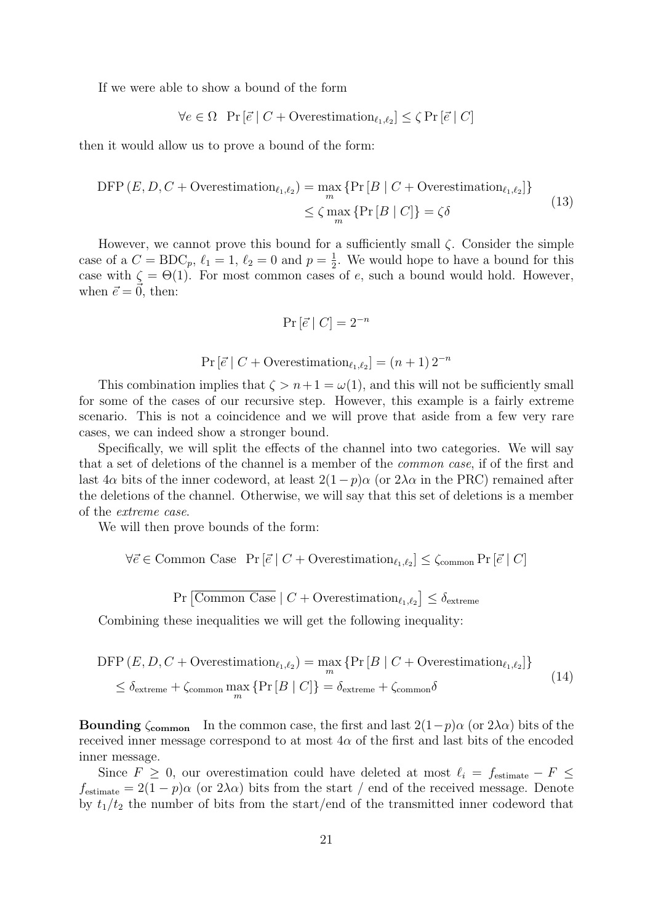If we were able to show a bound of the form

$$
\forall e \in \Omega \text{ Pr}[\vec{e} \mid C + \text{Overestimation}_{\ell_1, \ell_2}] \leq \zeta \Pr[\vec{e} \mid C]
$$

then it would allow us to prove a bound of the form:

$$
\text{DFP}\left(E, D, C + \text{Overestimation}_{\ell_1, \ell_2}\right) = \max_{m} \left\{ \Pr\left[B \mid C + \text{Overestimation}_{\ell_1, \ell_2}\right] \right\} \\ \leq \zeta \max_{m} \left\{ \Pr\left[B \mid C\right] \right\} = \zeta \delta \tag{13}
$$

However, we cannot prove this bound for a sufficiently small  $\zeta$ . Consider the simple case of a  $C = BDC_p, \ell_1 = 1, \ell_2 = 0$  and  $p = \frac{1}{2}$  $\frac{1}{2}$ . We would hope to have a bound for this case with  $\zeta = \Theta(1)$ . For most common cases of e, such a bound would hold. However, when  $\vec{e} = 0$ , then:

$$
\Pr\left[\vec{e} \mid C\right] = 2^{-n}
$$

$$
Pr\left[\vec{e} \mid C + \text{Overestimation}_{\ell_1,\ell_2}\right] = (n+1)2^{-n}
$$

This combination implies that  $\zeta > n+1 = \omega(1)$ , and this will not be sufficiently small for some of the cases of our recursive step. However, this example is a fairly extreme scenario. This is not a coincidence and we will prove that aside from a few very rare cases, we can indeed show a stronger bound.

Specifically, we will split the effects of the channel into two categories. We will say that a set of deletions of the channel is a member of the common case, if of the first and last  $4\alpha$  bits of the inner codeword, at least  $2(1-p)\alpha$  (or  $2\lambda\alpha$  in the PRC) remained after the deletions of the channel. Otherwise, we will say that this set of deletions is a member of the extreme case.

We will then prove bounds of the form:

 $\forall \vec{e} \in \text{Common Case } \Pr[\vec{e} \mid C + \text{Overestimation}_{\ell_1,\ell_2}] \leq \zeta_{\text{common}} \Pr[\vec{e} \mid C]$ 

 $Pr\left[\overline{\text{Common Case}} \mid C + \text{Overestimation}_{\ell_1,\ell_2}\right] \leq \delta_{\text{extreme}}$ 

<span id="page-20-0"></span>Combining these inequalities we will get the following inequality:

$$
\text{DFP}(E, D, C + \text{Overestimation}_{\ell_1, \ell_2}) = \max_{m} \{ \Pr\left[B \mid C + \text{Overestimation}_{\ell_1, \ell_2}\right] \}
$$
\n
$$
\leq \delta_{\text{extreme}} + \zeta_{\text{common}} \max_{m} \{ \Pr\left[B \mid C\right] \} = \delta_{\text{extreme}} + \zeta_{\text{common}} \delta \tag{14}
$$

**Bounding**  $\zeta$ <sub>common</sub> In the common case, the first and last  $2(1-p)\alpha$  (or  $2\lambda\alpha$ ) bits of the received inner message correspond to at most  $4\alpha$  of the first and last bits of the encoded inner message.

Since  $F \geq 0$ , our overestimation could have deleted at most  $\ell_i = f_{\text{estimate}} - F \leq$  $f_{\text{estimate}} = 2(1-p)\alpha$  (or  $2\lambda\alpha$ ) bits from the start / end of the received message. Denote by  $t_1/t_2$  the number of bits from the start/end of the transmitted inner codeword that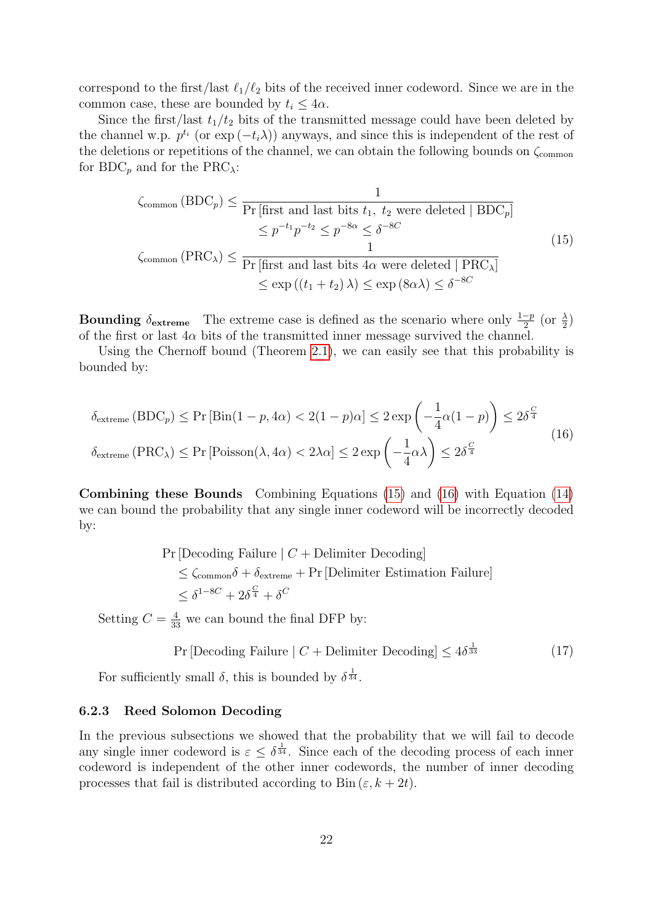correspond to the first/last  $\ell_1/\ell_2$  bits of the received inner codeword. Since we are in the common case, these are bounded by  $t_i \leq 4\alpha$ .

Since the first/last  $t_1/t_2$  bits of the transmitted message could have been deleted by the channel w.p.  $p^{t_i}$  (or  $\exp(-t_i\lambda)$ ) anyways, and since this is independent of the rest of the deletions or repetitions of the channel, we can obtain the following bounds on  $\zeta_{\text{common}}$ for BDC<sub>p</sub> and for the PRC<sub> $\lambda$ </sub>:

<span id="page-21-0"></span>
$$
\zeta_{\text{common}}\left(\text{BDC}_p\right) \le \frac{1}{\Pr\left[\text{first and last bits } t_1, t_2 \text{ were deleted } | \text{ BDC}_p\right]}
$$
  
\n
$$
\le p^{-t_1} p^{-t_2} \le p^{-8\alpha} \le \delta^{-8C}
$$
  
\n
$$
\zeta_{\text{common}}\left(\text{PRC}_{\lambda}\right) \le \frac{1}{\Pr\left[\text{first and last bits } 4\alpha \text{ were deleted } | \text{ PRC}_{\lambda}\right]}
$$
  
\n
$$
\le \exp\left((t_1 + t_2)\lambda\right) \le \exp\left(8\alpha\lambda\right) \le \delta^{-8C}
$$
  
\n(15)

**Bounding**  $\delta_{\text{extreme}}$  The extreme case is defined as the scenario where only  $\frac{1-p}{2}$  (or  $\frac{\lambda}{2}$ ) of the first or last  $4\alpha$  bits of the transmitted inner message survived the channel.

<span id="page-21-1"></span>Using the Chernoff bound (Theorem [2.1\)](#page-6-1), we can easily see that this probability is bounded by:

$$
\delta_{\text{extreme}}\left(\text{BDC}_p\right) \le \Pr\left[\text{Bin}(1-p, 4\alpha) < 2(1-p)\alpha\right] \le 2\exp\left(-\frac{1}{4}\alpha(1-p)\right) \le 2\delta^{\frac{C}{4}}
$$
\n
$$
\delta_{\text{extreme}}\left(\text{PRC}_{\lambda}\right) \le \Pr\left[\text{Poisson}(\lambda, 4\alpha) < 2\lambda\alpha\right] \le 2\exp\left(-\frac{1}{4}\alpha\lambda\right) \le 2\delta^{\frac{C}{4}}\tag{16}
$$

Combining these Bounds Combining Equations [\(15\)](#page-21-0) and [\(16\)](#page-21-1) with Equation [\(14\)](#page-20-0) we can bound the probability that any single inner codeword will be incorrectly decoded by:

> $Pr[Deding Failure | C + Delimiter Decoding]$  $\leq \zeta_{\text{common}}\delta + \delta_{\text{extreme}} + \Pr[\text{Delimiter Estimation Failure}]$  $\leq \delta^{1-8C} + 2\delta^{\frac{C}{4}} + \delta^C$

Setting  $C = \frac{4}{33}$  we can bound the final DFP by:

$$
Pr[Decoding Failure | C + Delimiter Decoding] \le 4\delta^{\frac{1}{33}} \tag{17}
$$

For sufficiently small  $\delta$ , this is bounded by  $\delta^{\frac{1}{34}}$ .

#### 6.2.3 Reed Solomon Decoding

In the previous subsections we showed that the probability that we will fail to decode any single inner codeword is  $\varepsilon \leq \delta^{\frac{1}{34}}$ . Since each of the decoding process of each inner codeword is independent of the other inner codewords, the number of inner decoding processes that fail is distributed according to Bin  $(\varepsilon, k + 2t)$ .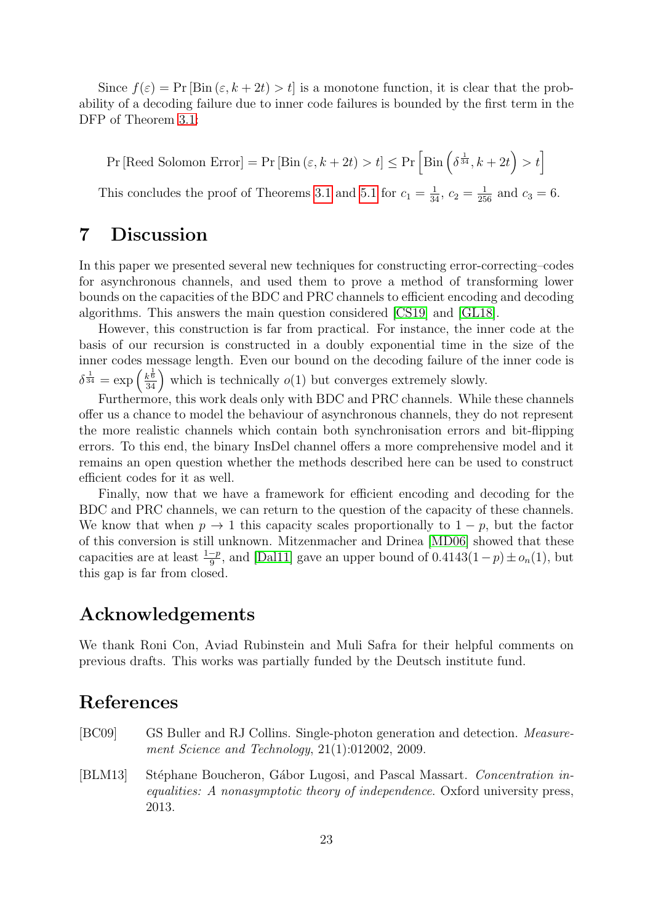Since  $f(\varepsilon) = \Pr [\text{Bin}(\varepsilon, k + 2t) > t]$  is a monotone function, it is clear that the probability of a decoding failure due to inner code failures is bounded by the first term in the DFP of Theorem [3.1:](#page-8-2)

Pr [Reed Solomon Error] = Pr [Bin  $(\varepsilon, k + 2t) > t$ ]  $\leq$  Pr  $\left[\text{Bin}\left(\delta^{\frac{1}{34}}, k + 2t\right) > t\right]$ 

This concludes the proof of Theorems [3.1](#page-8-2) and [5.1](#page-15-2) for  $c_1 = \frac{1}{34}$ ,  $c_2 = \frac{1}{256}$  and  $c_3 = 6$ .

# <span id="page-22-1"></span>7 Discussion

In this paper we presented several new techniques for constructing error-correcting–codes for asynchronous channels, and used them to prove a method of transforming lower bounds on the capacities of the BDC and PRC channels to efficient encoding and decoding algorithms. This answers the main question considered [\[CS19\]](#page-23-0) and [\[GL18\]](#page-23-1).

However, this construction is far from practical. For instance, the inner code at the basis of our recursion is constructed in a doubly exponential time in the size of the inner codes message length. Even our bound on the decoding failure of the inner code is  $\delta^{\frac{1}{34}} = \exp\left(\frac{k^{\frac{1}{6}}}{34}\right)$  which is technically  $o(1)$  but converges extremely slowly.

Furthermore, this work deals only with BDC and PRC channels. While these channels offer us a chance to model the behaviour of asynchronous channels, they do not represent the more realistic channels which contain both synchronisation errors and bit-flipping errors. To this end, the binary InsDel channel offers a more comprehensive model and it remains an open question whether the methods described here can be used to construct efficient codes for it as well.

Finally, now that we have a framework for efficient encoding and decoding for the BDC and PRC channels, we can return to the question of the capacity of these channels. We know that when  $p \to 1$  this capacity scales proportionally to  $1 - p$ , but the factor of this conversion is still unknown. Mitzenmacher and Drinea [\[MD06\]](#page-24-5) showed that these capacities are at least  $\frac{1-p}{9}$ , and [\[Dal11\]](#page-23-4) gave an upper bound of  $0.4143(1-p) \pm o_n(1)$ , but this gap is far from closed.

# Acknowledgements

We thank Roni Con, Aviad Rubinstein and Muli Safra for their helpful comments on previous drafts. This works was partially funded by the Deutsch institute fund.

# References

- <span id="page-22-0"></span>[BC09] GS Buller and RJ Collins. Single-photon generation and detection. Measurement Science and Technology, 21(1):012002, 2009.
- <span id="page-22-2"></span>[BLM13] Stéphane Boucheron, Gábor Lugosi, and Pascal Massart. Concentration inequalities: A nonasymptotic theory of independence. Oxford university press, 2013.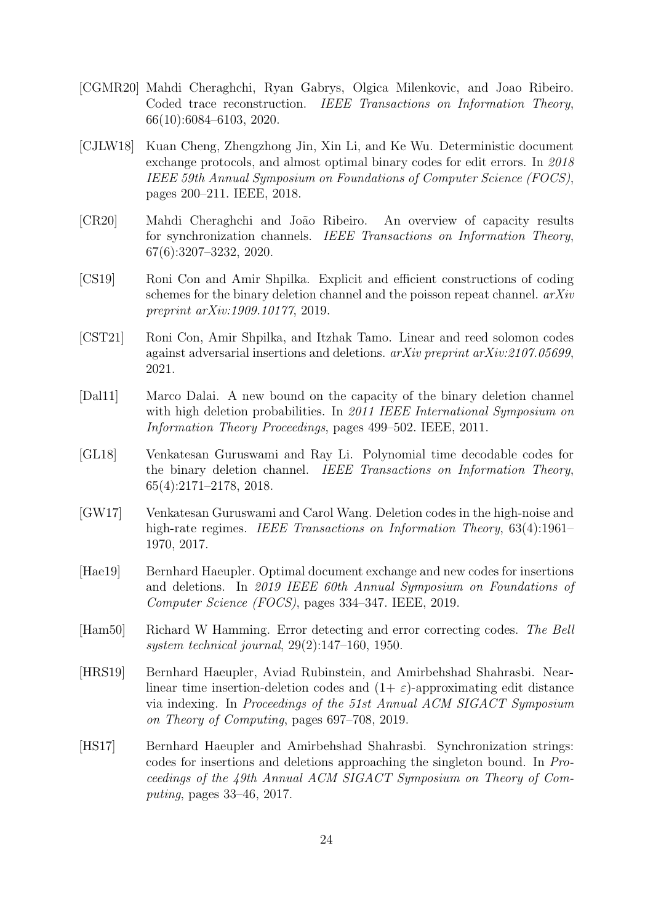- <span id="page-23-11"></span>[CGMR20] Mahdi Cheraghchi, Ryan Gabrys, Olgica Milenkovic, and Joao Ribeiro. Coded trace reconstruction. IEEE Transactions on Information Theory, 66(10):6084–6103, 2020.
- <span id="page-23-8"></span>[CJLW18] Kuan Cheng, Zhengzhong Jin, Xin Li, and Ke Wu. Deterministic document exchange protocols, and almost optimal binary codes for edit errors. In 2018 IEEE 59th Annual Symposium on Foundations of Computer Science (FOCS), pages 200–211. IEEE, 2018.
- <span id="page-23-3"></span>[CR20] Mahdi Cheraghchi and Jo˜ao Ribeiro. An overview of capacity results for synchronization channels. IEEE Transactions on Information Theory, 67(6):3207–3232, 2020.
- <span id="page-23-0"></span>[CS19] Roni Con and Amir Shpilka. Explicit and efficient constructions of coding schemes for the binary deletion channel and the poisson repeat channel.  $arXiv$ preprint arXiv:1909.10177, 2019.
- <span id="page-23-10"></span>[CST21] Roni Con, Amir Shpilka, and Itzhak Tamo. Linear and reed solomon codes against adversarial insertions and deletions. arXiv preprint arXiv:2107.05699, 2021.
- <span id="page-23-4"></span>[Dal11] Marco Dalai. A new bound on the capacity of the binary deletion channel with high deletion probabilities. In 2011 IEEE International Symposium on Information Theory Proceedings, pages 499–502. IEEE, 2011.
- <span id="page-23-1"></span>[GL18] Venkatesan Guruswami and Ray Li. Polynomial time decodable codes for the binary deletion channel. IEEE Transactions on Information Theory, 65(4):2171–2178, 2018.
- <span id="page-23-7"></span>[GW17] Venkatesan Guruswami and Carol Wang. Deletion codes in the high-noise and high-rate regimes. *IEEE Transactions on Information Theory*, 63(4):1961– 1970, 2017.
- <span id="page-23-9"></span>[Hae19] Bernhard Haeupler. Optimal document exchange and new codes for insertions and deletions. In 2019 IEEE 60th Annual Symposium on Foundations of Computer Science (FOCS), pages 334–347. IEEE, 2019.
- <span id="page-23-2"></span>[Ham50] Richard W Hamming. Error detecting and error correcting codes. The Bell system technical journal, 29(2):147–160, 1950.
- <span id="page-23-6"></span>[HRS19] Bernhard Haeupler, Aviad Rubinstein, and Amirbehshad Shahrasbi. Nearlinear time insertion-deletion codes and  $(1+\varepsilon)$ -approximating edit distance via indexing. In Proceedings of the 51st Annual ACM SIGACT Symposium on Theory of Computing, pages 697–708, 2019.
- <span id="page-23-5"></span>[HS17] Bernhard Haeupler and Amirbehshad Shahrasbi. Synchronization strings: codes for insertions and deletions approaching the singleton bound. In Proceedings of the 49th Annual ACM SIGACT Symposium on Theory of Computing, pages 33–46, 2017.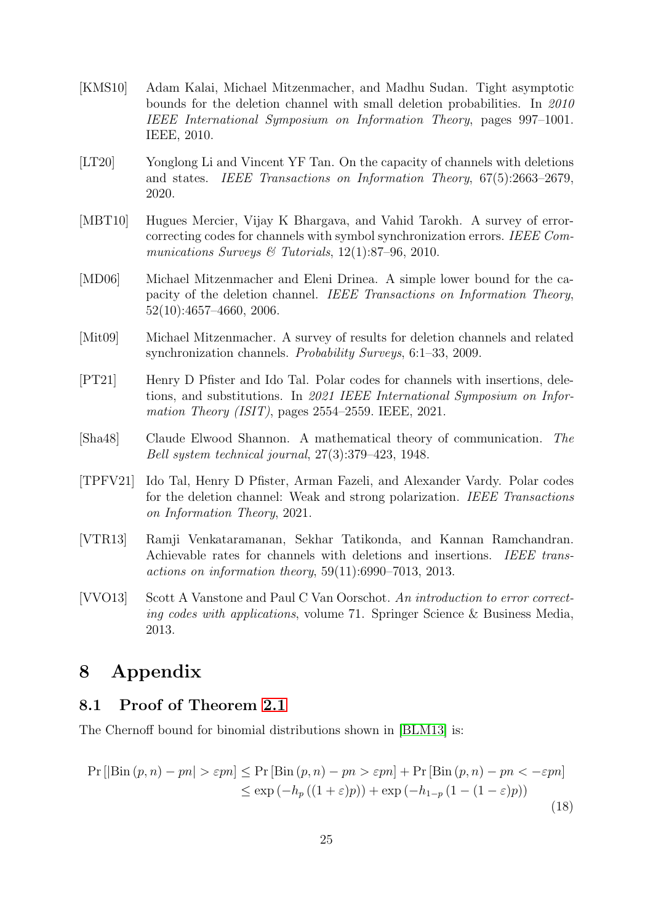- <span id="page-24-6"></span>[KMS10] Adam Kalai, Michael Mitzenmacher, and Madhu Sudan. Tight asymptotic bounds for the deletion channel with small deletion probabilities. In 2010 IEEE International Symposium on Information Theory, pages 997–1001. IEEE, 2010.
- <span id="page-24-9"></span>[LT20] Yonglong Li and Vincent YF Tan. On the capacity of channels with deletions and states. IEEE Transactions on Information Theory, 67(5):2663–2679, 2020.
- <span id="page-24-4"></span>[MBT10] Hugues Mercier, Vijay K Bhargava, and Vahid Tarokh. A survey of errorcorrecting codes for channels with symbol synchronization errors. IEEE Communications Surveys & Tutorials,  $12(1)$ :87-96, 2010.
- <span id="page-24-5"></span>[MD06] Michael Mitzenmacher and Eleni Drinea. A simple lower bound for the capacity of the deletion channel. IEEE Transactions on Information Theory, 52(10):4657–4660, 2006.
- <span id="page-24-3"></span>[Mit09] Michael Mitzenmacher. A survey of results for deletion channels and related synchronization channels. Probability Surveys, 6:1–33, 2009.
- <span id="page-24-8"></span>[PT21] Henry D Pfister and Ido Tal. Polar codes for channels with insertions, deletions, and substitutions. In 2021 IEEE International Symposium on Information Theory (ISIT), pages 2554–2559. IEEE, 2021.
- <span id="page-24-1"></span>[Sha48] Claude Elwood Shannon. A mathematical theory of communication. The Bell system technical journal, 27(3):379–423, 1948.
- <span id="page-24-0"></span>[TPFV21] Ido Tal, Henry D Pfister, Arman Fazeli, and Alexander Vardy. Polar codes for the deletion channel: Weak and strong polarization. IEEE Transactions on Information Theory, 2021.
- <span id="page-24-7"></span>[VTR13] Ramji Venkataramanan, Sekhar Tatikonda, and Kannan Ramchandran. Achievable rates for channels with deletions and insertions. IEEE transactions on information theory, 59(11):6990–7013, 2013.
- <span id="page-24-2"></span>[VVO13] Scott A Vanstone and Paul C Van Oorschot. An introduction to error correcting codes with applications, volume 71. Springer Science & Business Media, 2013.

# 8 Appendix

### <span id="page-24-10"></span>8.1 Proof of Theorem [2.1](#page-6-1)

<span id="page-24-11"></span>The Chernoff bound for binomial distributions shown in [\[BLM13\]](#page-22-2) is:

$$
\Pr\left[|\text{Bin}(p,n) - pn| > \varepsilon p n\right] \le \Pr\left[\text{Bin}(p,n) - pn > \varepsilon p n\right] + \Pr\left[\text{Bin}(p,n) - pn < -\varepsilon p n\right] \\
\le \exp\left(-h_p\left((1+\varepsilon)p\right)\right) + \exp\left(-h_{1-p}\left(1-(1-\varepsilon)p\right)\right) \tag{18}
$$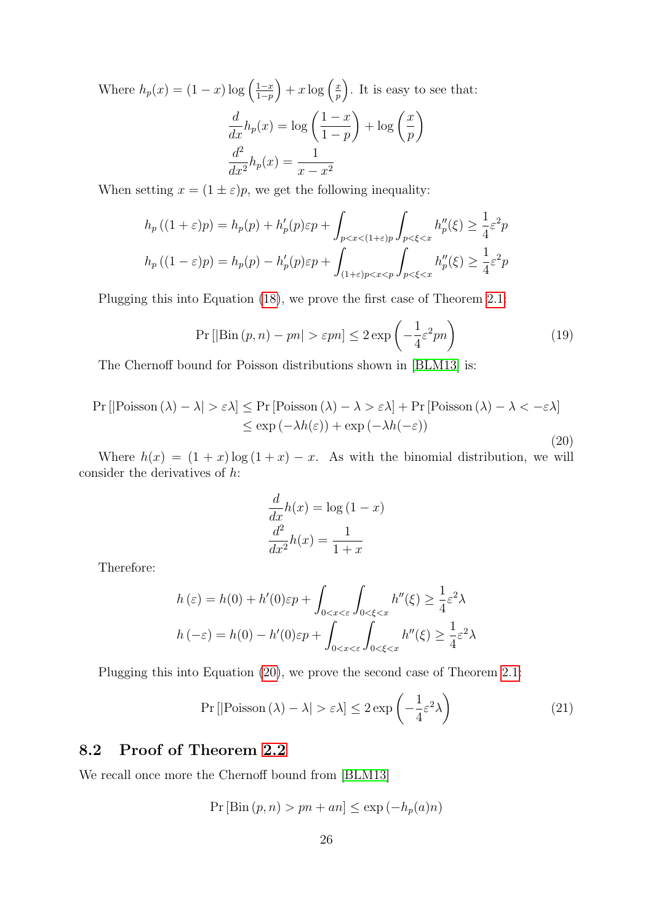Where  $h_p(x) = (1-x) \log \left( \frac{1-x}{1-p} \right)$  $\frac{1-x}{1-p}\Big) + x \log\Big(\frac{x}{p}\Big)$  $\left(\frac{x}{p}\right)$ . It is easy to see that:  $\frac{d}{dx}h_p(x) = \log\left(\frac{1-x}{1-p}\right)$  $1-p$  $\bigg\} + \log \left( \frac{x}{x} \right)$ p  $\setminus$  $d^2$  $\frac{d^2}{dx^2}h_p(x) = \frac{1}{x - x^2}$ 

When setting  $x = (1 \pm \varepsilon)p$ , we get the following inequality:

$$
h_p((1+\varepsilon)p) = h_p(p) + h'_p(p)\varepsilon p + \int_{p  

$$
h_p((1-\varepsilon)p) = h_p(p) - h'_p(p)\varepsilon p + \int_{(1+\varepsilon)p
$$
$$

Plugging this into Equation [\(18\)](#page-24-11), we prove the first case of Theorem [2.1:](#page-6-1)

$$
\Pr\left[\left|\text{Bin}\left(p, n\right) - pn\right| > \varepsilon p n\right] \le 2 \exp\left(-\frac{1}{4}\varepsilon^2 p n\right) \tag{19}
$$

<span id="page-25-1"></span>The Chernoff bound for Poisson distributions shown in [\[BLM13\]](#page-22-2) is:

$$
\Pr\left[\left|\text{Poisson}\left(\lambda\right) - \lambda\right| > \varepsilon\lambda\right] \le \Pr\left[\text{Poisson}\left(\lambda\right) - \lambda > \varepsilon\lambda\right] + \Pr\left[\text{Poisson}\left(\lambda\right) - \lambda < -\varepsilon\lambda\right] \\
\le \exp\left(-\lambda h(\varepsilon)\right) + \exp\left(-\lambda h(-\varepsilon)\right) \tag{20}
$$

Where  $h(x) = (1 + x) \log(1 + x) - x$ . As with the binomial distribution, we will consider the derivatives of h:

$$
\frac{d}{dx}h(x) = \log(1 - x)
$$

$$
\frac{d^2}{dx^2}h(x) = \frac{1}{1 + x}
$$

Therefore:

$$
h(\varepsilon) = h(0) + h'(0)\varepsilon p + \int_{0 < x < \varepsilon} \int_{0 < \xi < x} h''(\xi) \ge \frac{1}{4} \varepsilon^2 \lambda
$$
\n
$$
h(-\varepsilon) = h(0) - h'(0)\varepsilon p + \int_{0 < x < \varepsilon} \int_{0 < \xi < x} h''(\xi) \ge \frac{1}{4} \varepsilon^2 \lambda
$$

Plugging this into Equation [\(20\)](#page-25-1), we prove the second case of Theorem [2.1:](#page-6-1)

$$
\Pr\left[\left|\text{Poisson}\left(\lambda\right) - \lambda\right| > \varepsilon\lambda\right] \le 2\exp\left(-\frac{1}{4}\varepsilon^2\lambda\right) \tag{21}
$$

### <span id="page-25-0"></span>8.2 Proof of Theorem [2.2](#page-6-0)

We recall once more the Chernoff bound from [\[BLM13\]](#page-22-2)

$$
Pr [Bin (p, n) > pn + an] \leq exp (-h_p(a)n)
$$